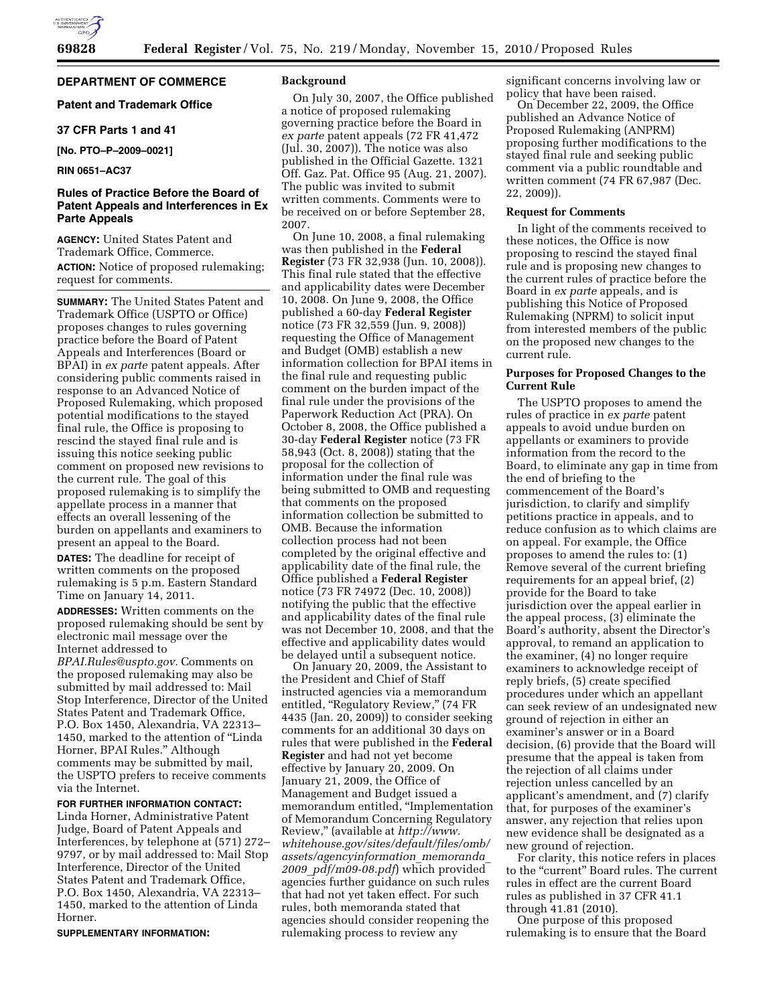

# **DEPARTMENT OF COMMERCE**

# **Patent and Trademark Office**

## **37 CFR Parts 1 and 41**

**[No. PTO–P–2009–0021]** 

# **RIN 0651–AC37**

# **Rules of Practice Before the Board of Patent Appeals and Interferences in Ex Parte Appeals**

**AGENCY:** United States Patent and Trademark Office, Commerce. **ACTION:** Notice of proposed rulemaking; request for comments.

**SUMMARY:** The United States Patent and Trademark Office (USPTO or Office) proposes changes to rules governing practice before the Board of Patent Appeals and Interferences (Board or BPAI) in *ex parte* patent appeals. After considering public comments raised in response to an Advanced Notice of Proposed Rulemaking, which proposed potential modifications to the stayed final rule, the Office is proposing to rescind the stayed final rule and is issuing this notice seeking public comment on proposed new revisions to the current rule. The goal of this proposed rulemaking is to simplify the appellate process in a manner that effects an overall lessening of the burden on appellants and examiners to present an appeal to the Board.

**DATES:** The deadline for receipt of written comments on the proposed rulemaking is 5 p.m. Eastern Standard Time on January 14, 2011.

**ADDRESSES:** Written comments on the proposed rulemaking should be sent by electronic mail message over the Internet addressed to *[BPAI.Rules@uspto.gov.](mailto:BPAI.Rules@uspto.gov)* Comments on the proposed rulemaking may also be submitted by mail addressed to: Mail Stop Interference, Director of the United States Patent and Trademark Office, P.O. Box 1450, Alexandria, VA 22313– 1450, marked to the attention of ''Linda Horner, BPAI Rules.'' Although comments may be submitted by mail, the USPTO prefers to receive comments via the Internet.

### **FOR FURTHER INFORMATION CONTACT:**

Linda Horner, Administrative Patent Judge, Board of Patent Appeals and Interferences, by telephone at (571) 272– 9797, or by mail addressed to: Mail Stop Interference, Director of the United States Patent and Trademark Office, P.O. Box 1450, Alexandria, VA 22313– 1450, marked to the attention of Linda Horner.

**SUPPLEMENTARY INFORMATION:** 

## **Background**

On July 30, 2007, the Office published a notice of proposed rulemaking governing practice before the Board in *ex parte* patent appeals (72 FR 41,472 (Jul. 30, 2007)). The notice was also published in the Official Gazette. 1321 Off. Gaz. Pat. Office 95 (Aug. 21, 2007). The public was invited to submit written comments. Comments were to be received on or before September 28, 2007.

On June 10, 2008, a final rulemaking was then published in the **Federal Register** (73 FR 32,938 (Jun. 10, 2008)). This final rule stated that the effective and applicability dates were December 10, 2008. On June 9, 2008, the Office published a 60-day **Federal Register**  notice (73 FR 32,559 (Jun. 9, 2008)) requesting the Office of Management and Budget (OMB) establish a new information collection for BPAI items in the final rule and requesting public comment on the burden impact of the final rule under the provisions of the Paperwork Reduction Act (PRA). On October 8, 2008, the Office published a 30-day **Federal Register** notice (73 FR 58,943 (Oct. 8, 2008)) stating that the proposal for the collection of information under the final rule was being submitted to OMB and requesting that comments on the proposed information collection be submitted to OMB. Because the information collection process had not been completed by the original effective and applicability date of the final rule, the Office published a **Federal Register**  notice (73 FR 74972 (Dec. 10, 2008)) notifying the public that the effective and applicability dates of the final rule was not December 10, 2008, and that the effective and applicability dates would be delayed until a subsequent notice.

On January 20, 2009, the Assistant to the President and Chief of Staff instructed agencies via a memorandum entitled, "Regulatory Review," (74 FR) 4435 (Jan. 20, 2009)) to consider seeking comments for an additional 30 days on rules that were published in the **Federal Register** and had not yet become effective by January 20, 2009. On January 21, 2009, the Office of Management and Budget issued a memorandum entitled, ''Implementation of Memorandum Concerning Regulatory Review,'' (available at *[http://www.](http://www.whitehouse.gov/sites/default/files/omb/assets/agencyinformation_memoranda_2009_pdf/m09-08.pdf) [whitehouse.gov/sites/default/files/omb/](http://www.whitehouse.gov/sites/default/files/omb/assets/agencyinformation_memoranda_2009_pdf/m09-08.pdf) [assets/agencyinformation](http://www.whitehouse.gov/sites/default/files/omb/assets/agencyinformation_memoranda_2009_pdf/m09-08.pdf)*\_*memoranda*\_ *2009*\_*[pdf/m09-08.pdf](http://www.whitehouse.gov/sites/default/files/omb/assets/agencyinformation_memoranda_2009_pdf/m09-08.pdf)*) which provided agencies further guidance on such rules that had not yet taken effect. For such rules, both memoranda stated that agencies should consider reopening the rulemaking process to review any

significant concerns involving law or policy that have been raised.

On December 22, 2009, the Office published an Advance Notice of Proposed Rulemaking (ANPRM) proposing further modifications to the stayed final rule and seeking public comment via a public roundtable and written comment (74 FR 67,987 (Dec. 22, 2009)).

#### **Request for Comments**

In light of the comments received to these notices, the Office is now proposing to rescind the stayed final rule and is proposing new changes to the current rules of practice before the Board in *ex parte* appeals, and is publishing this Notice of Proposed Rulemaking (NPRM) to solicit input from interested members of the public on the proposed new changes to the current rule.

# **Purposes for Proposed Changes to the Current Rule**

The USPTO proposes to amend the rules of practice in *ex parte* patent appeals to avoid undue burden on appellants or examiners to provide information from the record to the Board, to eliminate any gap in time from the end of briefing to the commencement of the Board's jurisdiction, to clarify and simplify petitions practice in appeals, and to reduce confusion as to which claims are on appeal. For example, the Office proposes to amend the rules to: (1) Remove several of the current briefing requirements for an appeal brief, (2) provide for the Board to take jurisdiction over the appeal earlier in the appeal process, (3) eliminate the Board's authority, absent the Director's approval, to remand an application to the examiner, (4) no longer require examiners to acknowledge receipt of reply briefs, (5) create specified procedures under which an appellant can seek review of an undesignated new ground of rejection in either an examiner's answer or in a Board decision, (6) provide that the Board will presume that the appeal is taken from the rejection of all claims under rejection unless cancelled by an applicant's amendment, and (7) clarify that, for purposes of the examiner's answer, any rejection that relies upon new evidence shall be designated as a new ground of rejection.

For clarity, this notice refers in places to the "current" Board rules. The current rules in effect are the current Board rules as published in 37 CFR 41.1 through 41.81 (2010).

One purpose of this proposed rulemaking is to ensure that the Board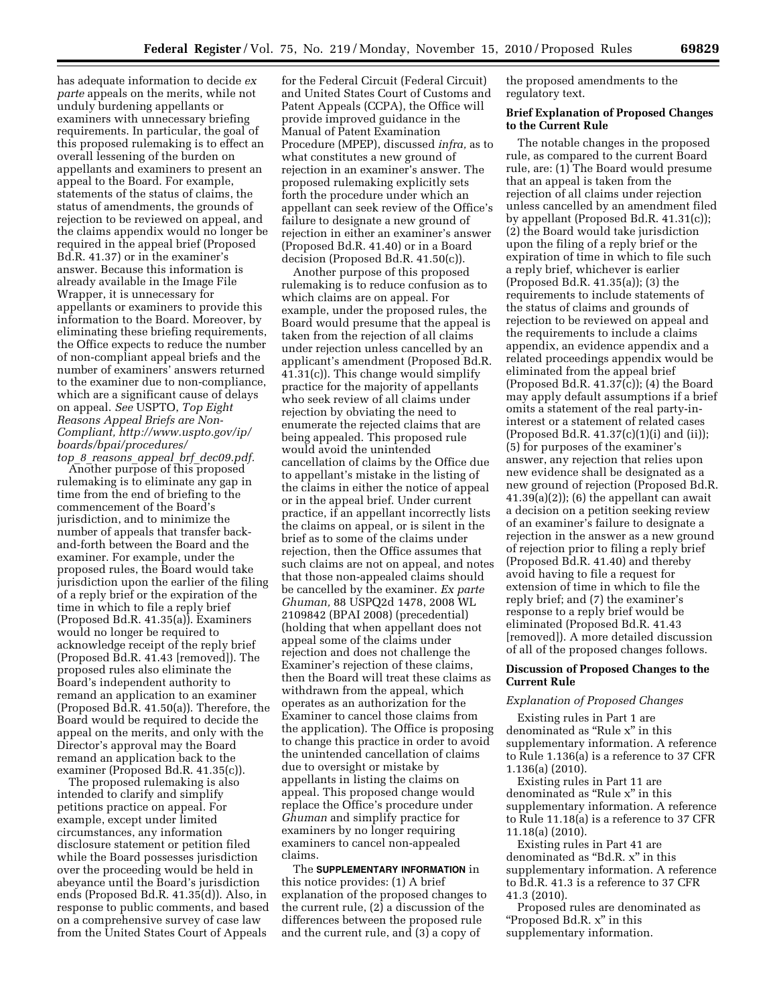has adequate information to decide *ex parte* appeals on the merits, while not unduly burdening appellants or examiners with unnecessary briefing requirements. In particular, the goal of this proposed rulemaking is to effect an overall lessening of the burden on appellants and examiners to present an appeal to the Board. For example, statements of the status of claims, the status of amendments, the grounds of rejection to be reviewed on appeal, and the claims appendix would no longer be required in the appeal brief (Proposed Bd.R. 41.37) or in the examiner's answer. Because this information is already available in the Image File Wrapper, it is unnecessary for appellants or examiners to provide this information to the Board. Moreover, by eliminating these briefing requirements, the Office expects to reduce the number of non-compliant appeal briefs and the number of examiners' answers returned to the examiner due to non-compliance, which are a significant cause of delays on appeal. *See* USPTO, *Top Eight Reasons Appeal Briefs are Non-Compliant, [http://www.uspto.gov/ip/](http://www.uspto.gov/ip/boards/bpai/procedures/top_8_reasons_appeal_brf_dec09.pdf) [boards/bpai/procedures/](http://www.uspto.gov/ip/boards/bpai/procedures/top_8_reasons_appeal_brf_dec09.pdf)  top*\_*8*\_*reasons*\_*appeal*\_*brf*\_*[dec09.pdf.](http://www.uspto.gov/ip/boards/bpai/procedures/top_8_reasons_appeal_brf_dec09.pdf)* 

Another purpose of this proposed rulemaking is to eliminate any gap in time from the end of briefing to the commencement of the Board's jurisdiction, and to minimize the number of appeals that transfer backand-forth between the Board and the examiner. For example, under the proposed rules, the Board would take jurisdiction upon the earlier of the filing of a reply brief or the expiration of the time in which to file a reply brief (Proposed Bd.R. 41.35(a)). Examiners would no longer be required to acknowledge receipt of the reply brief (Proposed Bd.R. 41.43 [removed]). The proposed rules also eliminate the Board's independent authority to remand an application to an examiner (Proposed Bd.R. 41.50(a)). Therefore, the Board would be required to decide the appeal on the merits, and only with the Director's approval may the Board remand an application back to the examiner (Proposed Bd.R. 41.35(c)).

The proposed rulemaking is also intended to clarify and simplify petitions practice on appeal. For example, except under limited circumstances, any information disclosure statement or petition filed while the Board possesses jurisdiction over the proceeding would be held in abeyance until the Board's jurisdiction ends (Proposed Bd.R. 41.35(d)). Also, in response to public comments, and based on a comprehensive survey of case law from the United States Court of Appeals

for the Federal Circuit (Federal Circuit) and United States Court of Customs and Patent Appeals (CCPA), the Office will provide improved guidance in the Manual of Patent Examination Procedure (MPEP), discussed *infra,* as to what constitutes a new ground of rejection in an examiner's answer. The proposed rulemaking explicitly sets forth the procedure under which an appellant can seek review of the Office's failure to designate a new ground of rejection in either an examiner's answer (Proposed Bd.R. 41.40) or in a Board decision (Proposed Bd.R. 41.50(c)).

Another purpose of this proposed rulemaking is to reduce confusion as to which claims are on appeal. For example, under the proposed rules, the Board would presume that the appeal is taken from the rejection of all claims under rejection unless cancelled by an applicant's amendment (Proposed Bd.R. 41.31(c)). This change would simplify practice for the majority of appellants who seek review of all claims under rejection by obviating the need to enumerate the rejected claims that are being appealed. This proposed rule would avoid the unintended cancellation of claims by the Office due to appellant's mistake in the listing of the claims in either the notice of appeal or in the appeal brief. Under current practice, if an appellant incorrectly lists the claims on appeal, or is silent in the brief as to some of the claims under rejection, then the Office assumes that such claims are not on appeal, and notes that those non-appealed claims should be cancelled by the examiner. *Ex parte Ghuman,* 88 USPQ2d 1478, 2008 WL 2109842 (BPAI 2008) (precedential) (holding that when appellant does not appeal some of the claims under rejection and does not challenge the Examiner's rejection of these claims, then the Board will treat these claims as withdrawn from the appeal, which operates as an authorization for the Examiner to cancel those claims from the application). The Office is proposing to change this practice in order to avoid the unintended cancellation of claims due to oversight or mistake by appellants in listing the claims on appeal. This proposed change would replace the Office's procedure under *Ghuman* and simplify practice for examiners by no longer requiring examiners to cancel non-appealed claims.

The **SUPPLEMENTARY INFORMATION** in this notice provides: (1) A brief explanation of the proposed changes to the current rule, (2) a discussion of the differences between the proposed rule and the current rule, and (3) a copy of

the proposed amendments to the regulatory text.

## **Brief Explanation of Proposed Changes to the Current Rule**

The notable changes in the proposed rule, as compared to the current Board rule, are: (1) The Board would presume that an appeal is taken from the rejection of all claims under rejection unless cancelled by an amendment filed by appellant (Proposed Bd.R. 41.31(c)); (2) the Board would take jurisdiction upon the filing of a reply brief or the expiration of time in which to file such a reply brief, whichever is earlier (Proposed Bd.R. 41.35(a)); (3) the requirements to include statements of the status of claims and grounds of rejection to be reviewed on appeal and the requirements to include a claims appendix, an evidence appendix and a related proceedings appendix would be eliminated from the appeal brief (Proposed Bd.R. 41.37(c)); (4) the Board may apply default assumptions if a brief omits a statement of the real party-ininterest or a statement of related cases (Proposed Bd.R.  $41.37(c)(1)(i)$  and  $(ii)$ ); (5) for purposes of the examiner's answer, any rejection that relies upon new evidence shall be designated as a new ground of rejection (Proposed Bd.R.  $(41.39(a)(2))$ ; (6) the appellant can await a decision on a petition seeking review of an examiner's failure to designate a rejection in the answer as a new ground of rejection prior to filing a reply brief (Proposed Bd.R. 41.40) and thereby avoid having to file a request for extension of time in which to file the reply brief; and (7) the examiner's response to a reply brief would be eliminated (Proposed Bd.R. 41.43 [removed]). A more detailed discussion of all of the proposed changes follows.

### **Discussion of Proposed Changes to the Current Rule**

### *Explanation of Proposed Changes*

Existing rules in Part 1 are denominated as "Rule x" in this supplementary information. A reference to Rule 1.136(a) is a reference to 37 CFR 1.136(a) (2010).

Existing rules in Part 11 are denominated as "Rule x" in this supplementary information. A reference to Rule 11.18(a) is a reference to 37 CFR 11.18(a) (2010).

Existing rules in Part 41 are denominated as "Bd.R. x" in this supplementary information. A reference to Bd.R. 41.3 is a reference to 37 CFR 41.3 (2010).

Proposed rules are denominated as ''Proposed Bd.R. x'' in this supplementary information.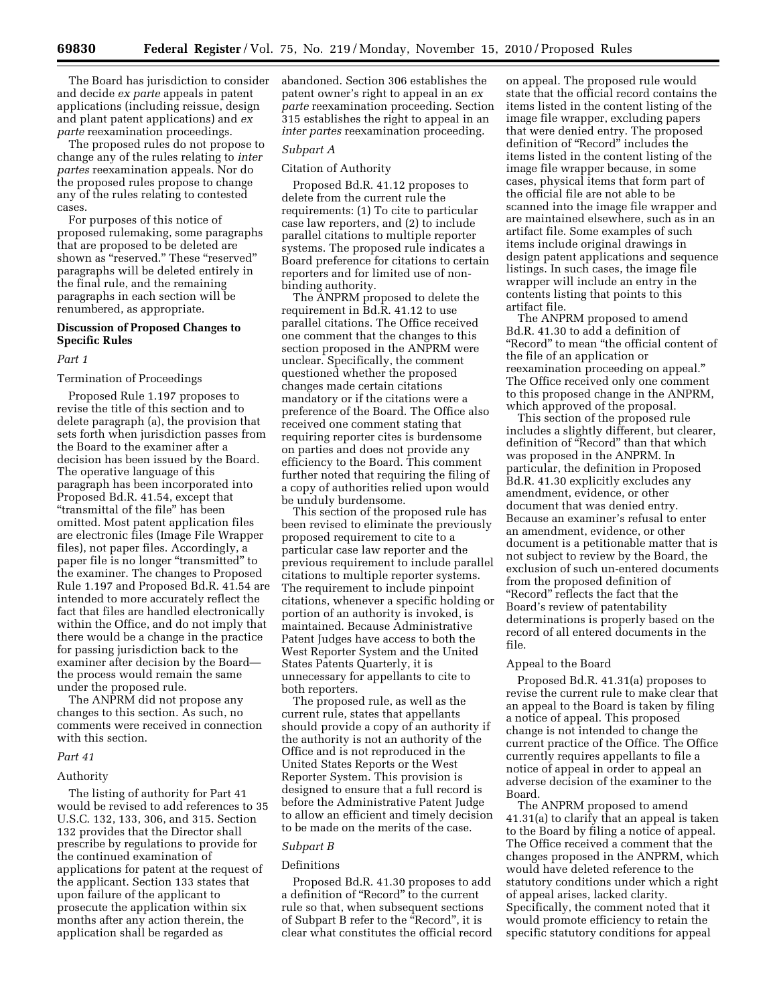The Board has jurisdiction to consider and decide *ex parte* appeals in patent applications (including reissue, design and plant patent applications) and *ex parte* reexamination proceedings.

The proposed rules do not propose to change any of the rules relating to *inter partes* reexamination appeals. Nor do the proposed rules propose to change any of the rules relating to contested cases.

For purposes of this notice of proposed rulemaking, some paragraphs that are proposed to be deleted are shown as "reserved." These "reserved" paragraphs will be deleted entirely in the final rule, and the remaining paragraphs in each section will be renumbered, as appropriate.

# **Discussion of Proposed Changes to Specific Rules**

#### *Part 1*

### Termination of Proceedings

Proposed Rule 1.197 proposes to revise the title of this section and to delete paragraph (a), the provision that sets forth when jurisdiction passes from the Board to the examiner after a decision has been issued by the Board. The operative language of this paragraph has been incorporated into Proposed Bd.R. 41.54, except that ''transmittal of the file'' has been omitted. Most patent application files are electronic files (Image File Wrapper files), not paper files. Accordingly, a paper file is no longer ''transmitted'' to the examiner. The changes to Proposed Rule 1.197 and Proposed Bd.R. 41.54 are intended to more accurately reflect the fact that files are handled electronically within the Office, and do not imply that there would be a change in the practice for passing jurisdiction back to the examiner after decision by the Board the process would remain the same under the proposed rule.

The ANPRM did not propose any changes to this section. As such, no comments were received in connection with this section.

#### *Part 41*

## Authority

The listing of authority for Part 41 would be revised to add references to 35 U.S.C. 132, 133, 306, and 315. Section 132 provides that the Director shall prescribe by regulations to provide for the continued examination of applications for patent at the request of the applicant. Section 133 states that upon failure of the applicant to prosecute the application within six months after any action therein, the application shall be regarded as

abandoned. Section 306 establishes the patent owner's right to appeal in an *ex parte* reexamination proceeding. Section 315 establishes the right to appeal in an *inter partes* reexamination proceeding.

### *Subpart A*

#### Citation of Authority

Proposed Bd.R. 41.12 proposes to delete from the current rule the requirements: (1) To cite to particular case law reporters, and (2) to include parallel citations to multiple reporter systems. The proposed rule indicates a Board preference for citations to certain reporters and for limited use of nonbinding authority.

The ANPRM proposed to delete the requirement in Bd.R. 41.12 to use parallel citations. The Office received one comment that the changes to this section proposed in the ANPRM were unclear. Specifically, the comment questioned whether the proposed changes made certain citations mandatory or if the citations were a preference of the Board. The Office also received one comment stating that requiring reporter cites is burdensome on parties and does not provide any efficiency to the Board. This comment further noted that requiring the filing of a copy of authorities relied upon would be unduly burdensome.

This section of the proposed rule has been revised to eliminate the previously proposed requirement to cite to a particular case law reporter and the previous requirement to include parallel citations to multiple reporter systems. The requirement to include pinpoint citations, whenever a specific holding or portion of an authority is invoked, is maintained. Because Administrative Patent Judges have access to both the West Reporter System and the United States Patents Quarterly, it is unnecessary for appellants to cite to both reporters.

The proposed rule, as well as the current rule, states that appellants should provide a copy of an authority if the authority is not an authority of the Office and is not reproduced in the United States Reports or the West Reporter System. This provision is designed to ensure that a full record is before the Administrative Patent Judge to allow an efficient and timely decision to be made on the merits of the case.

# *Subpart B*

#### Definitions

Proposed Bd.R. 41.30 proposes to add a definition of ''Record'' to the current rule so that, when subsequent sections of Subpart B refer to the ''Record'', it is clear what constitutes the official record

on appeal. The proposed rule would state that the official record contains the items listed in the content listing of the image file wrapper, excluding papers that were denied entry. The proposed definition of "Record" includes the items listed in the content listing of the image file wrapper because, in some cases, physical items that form part of the official file are not able to be scanned into the image file wrapper and are maintained elsewhere, such as in an artifact file. Some examples of such items include original drawings in design patent applications and sequence listings. In such cases, the image file wrapper will include an entry in the contents listing that points to this artifact file.

The ANPRM proposed to amend Bd.R. 41.30 to add a definition of ''Record'' to mean ''the official content of the file of an application or reexamination proceeding on appeal.'' The Office received only one comment to this proposed change in the ANPRM, which approved of the proposal.

This section of the proposed rule includes a slightly different, but clearer, definition of "Record" than that which was proposed in the ANPRM. In particular, the definition in Proposed Bd.R. 41.30 explicitly excludes any amendment, evidence, or other document that was denied entry. Because an examiner's refusal to enter an amendment, evidence, or other document is a petitionable matter that is not subject to review by the Board, the exclusion of such un-entered documents from the proposed definition of ''Record'' reflects the fact that the Board's review of patentability determinations is properly based on the record of all entered documents in the file.

### Appeal to the Board

Proposed Bd.R. 41.31(a) proposes to revise the current rule to make clear that an appeal to the Board is taken by filing a notice of appeal. This proposed change is not intended to change the current practice of the Office. The Office currently requires appellants to file a notice of appeal in order to appeal an adverse decision of the examiner to the Board.

The ANPRM proposed to amend 41.31(a) to clarify that an appeal is taken to the Board by filing a notice of appeal. The Office received a comment that the changes proposed in the ANPRM, which would have deleted reference to the statutory conditions under which a right of appeal arises, lacked clarity. Specifically, the comment noted that it would promote efficiency to retain the specific statutory conditions for appeal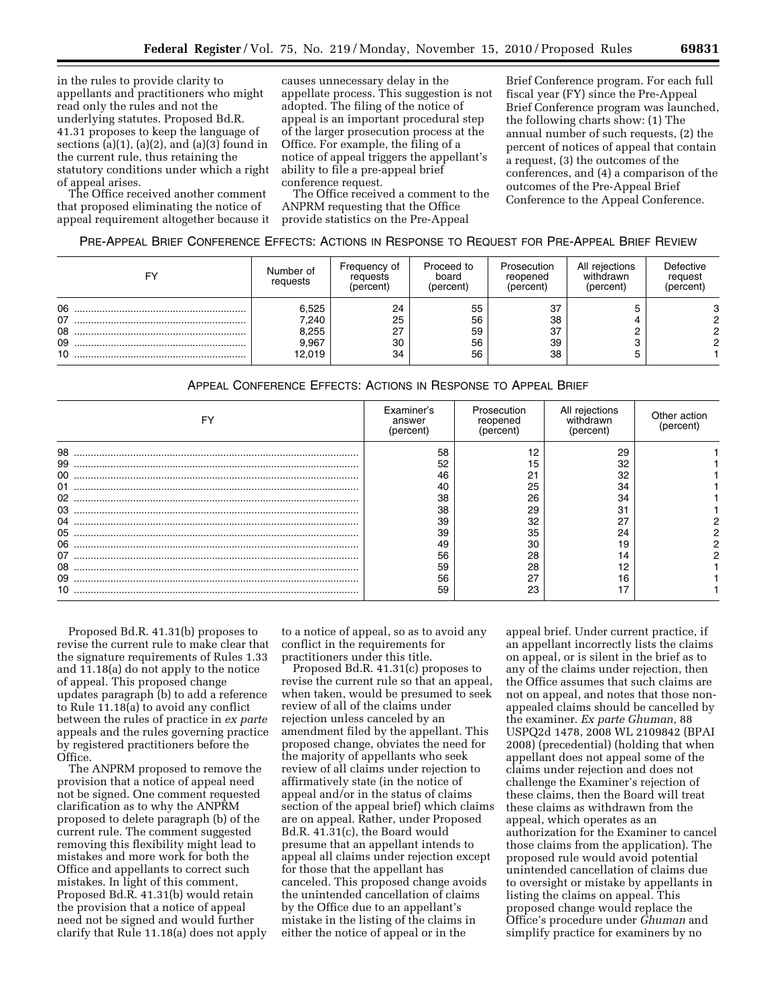in the rules to provide clarity to appellants and practitioners who might read only the rules and not the underlying statutes. Proposed Bd.R. 41.31 proposes to keep the language of sections  $(a)(1)$ ,  $(a)(2)$ , and  $(a)(3)$  found in the current rule, thus retaining the statutory conditions under which a right of appeal arises.

The Office received another comment that proposed eliminating the notice of appeal requirement altogether because it

causes unnecessary delay in the appellate process. This suggestion is not adopted. The filing of the notice of appeal is an important procedural step of the larger prosecution process at the Office. For example, the filing of a notice of appeal triggers the appellant's ability to file a pre-appeal brief conference request.

The Office received a comment to the ANPRM requesting that the Office provide statistics on the Pre-Appeal

Brief Conference program. For each full fiscal year (FY) since the Pre-Appeal Brief Conference program was launched, the following charts show: (1) The annual number of such requests, (2) the percent of notices of appeal that contain a request, (3) the outcomes of the conferences, and (4) a comparison of the outcomes of the Pre-Appeal Brief Conference to the Appeal Conference.

# PRE-APPEAL BRIEF CONFERENCE EFFECTS: ACTIONS IN RESPONSE TO REQUEST FOR PRE-APPEAL BRIEF REVIEW

| F۷                         | Number of<br>requests                      | Frequency of<br>requests<br>(percent) | Proceed to<br>board<br>(percent) | Prosecution<br>reopened<br>(percent) | All rejections<br>withdrawn<br>(percent) | Defective<br>request<br>(percent) |
|----------------------------|--------------------------------------------|---------------------------------------|----------------------------------|--------------------------------------|------------------------------------------|-----------------------------------|
| 06<br>07<br>08<br>09<br>10 | 6,525<br>7,240<br>8,255<br>9,967<br>12.019 | 24<br>25<br>27<br>30<br>34            | 55<br>56<br>59<br>56<br>56       | 37<br>38<br>37<br>39<br>38           |                                          |                                   |

# APPEAL CONFERENCE EFFECTS: ACTIONS IN RESPONSE TO APPEAL BRIEF

| FY                         | Examiner's<br>answer<br>(percent) | Prosecution<br>reopened<br>percent) | All rejections<br>withdrawn<br>(percent) | Other action<br>percent |
|----------------------------|-----------------------------------|-------------------------------------|------------------------------------------|-------------------------|
| 98<br>99<br>00<br>01<br>02 | 58<br>52<br>46<br>40<br>38        | 1 Q<br>15<br>21<br>25<br>26         | 29<br>32<br>32<br>34<br>34               |                         |
| 03<br>05                   | 38<br>39<br>39                    | 29<br>32<br>35                      | 31<br>27<br>24                           |                         |
| 06<br>07<br>08<br>09<br>10 | 49<br>56<br>59<br>56<br>59        | 30<br>28<br>28<br>27<br>23          | 19<br>14<br>12<br>16<br>17               |                         |

Proposed Bd.R. 41.31(b) proposes to revise the current rule to make clear that the signature requirements of Rules 1.33 and 11.18(a) do not apply to the notice of appeal. This proposed change updates paragraph (b) to add a reference to Rule 11.18(a) to avoid any conflict between the rules of practice in *ex parte*  appeals and the rules governing practice by registered practitioners before the Office.

The ANPRM proposed to remove the provision that a notice of appeal need not be signed. One comment requested clarification as to why the ANPRM proposed to delete paragraph (b) of the current rule. The comment suggested removing this flexibility might lead to mistakes and more work for both the Office and appellants to correct such mistakes. In light of this comment, Proposed Bd.R. 41.31(b) would retain the provision that a notice of appeal need not be signed and would further clarify that Rule 11.18(a) does not apply

to a notice of appeal, so as to avoid any conflict in the requirements for practitioners under this title.

Proposed Bd.R. 41.31(c) proposes to revise the current rule so that an appeal, when taken, would be presumed to seek review of all of the claims under rejection unless canceled by an amendment filed by the appellant. This proposed change, obviates the need for the majority of appellants who seek review of all claims under rejection to affirmatively state (in the notice of appeal and/or in the status of claims section of the appeal brief) which claims are on appeal. Rather, under Proposed Bd.R. 41.31(c), the Board would presume that an appellant intends to appeal all claims under rejection except for those that the appellant has canceled. This proposed change avoids the unintended cancellation of claims by the Office due to an appellant's mistake in the listing of the claims in either the notice of appeal or in the

appeal brief. Under current practice, if an appellant incorrectly lists the claims on appeal, or is silent in the brief as to any of the claims under rejection, then the Office assumes that such claims are not on appeal, and notes that those nonappealed claims should be cancelled by the examiner. *Ex parte Ghuman,* 88 USPQ2d 1478, 2008 WL 2109842 (BPAI 2008) (precedential) (holding that when appellant does not appeal some of the claims under rejection and does not challenge the Examiner's rejection of these claims, then the Board will treat these claims as withdrawn from the appeal, which operates as an authorization for the Examiner to cancel those claims from the application). The proposed rule would avoid potential unintended cancellation of claims due to oversight or mistake by appellants in listing the claims on appeal. This proposed change would replace the Office's procedure under *Ghuman* and simplify practice for examiners by no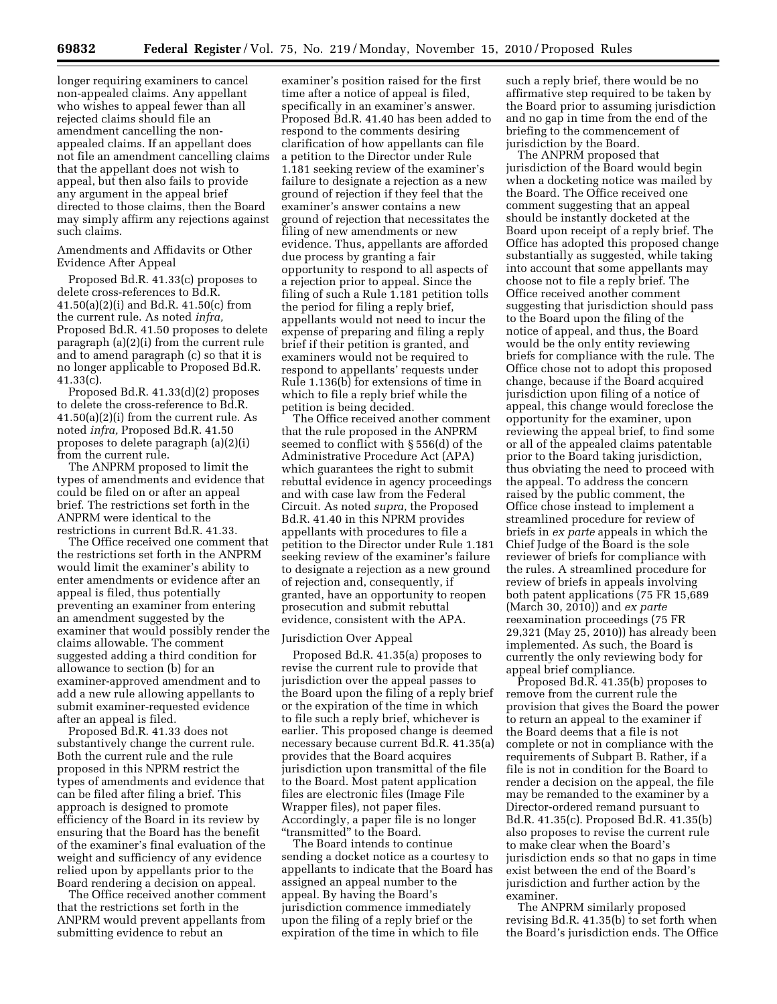longer requiring examiners to cancel non-appealed claims. Any appellant who wishes to appeal fewer than all rejected claims should file an amendment cancelling the nonappealed claims. If an appellant does not file an amendment cancelling claims that the appellant does not wish to appeal, but then also fails to provide any argument in the appeal brief directed to those claims, then the Board may simply affirm any rejections against such claims.

# Amendments and Affidavits or Other Evidence After Appeal

Proposed Bd.R. 41.33(c) proposes to delete cross-references to Bd.R. 41.50(a)(2)(i) and Bd.R. 41.50(c) from the current rule. As noted *infra,*  Proposed Bd.R. 41.50 proposes to delete paragraph (a)(2)(i) from the current rule and to amend paragraph (c) so that it is no longer applicable to Proposed Bd.R.  $41.33(c)$ .

Proposed Bd.R. 41.33(d)(2) proposes to delete the cross-reference to Bd.R. 41.50(a)(2)(i) from the current rule. As noted *infra,* Proposed Bd.R. 41.50 proposes to delete paragraph (a)(2)(i) from the current rule.

The ANPRM proposed to limit the types of amendments and evidence that could be filed on or after an appeal brief. The restrictions set forth in the ANPRM were identical to the restrictions in current Bd.R. 41.33.

The Office received one comment that the restrictions set forth in the ANPRM would limit the examiner's ability to enter amendments or evidence after an appeal is filed, thus potentially preventing an examiner from entering an amendment suggested by the examiner that would possibly render the claims allowable. The comment suggested adding a third condition for allowance to section (b) for an examiner-approved amendment and to add a new rule allowing appellants to submit examiner-requested evidence after an appeal is filed.

Proposed Bd.R. 41.33 does not substantively change the current rule. Both the current rule and the rule proposed in this NPRM restrict the types of amendments and evidence that can be filed after filing a brief. This approach is designed to promote efficiency of the Board in its review by ensuring that the Board has the benefit of the examiner's final evaluation of the weight and sufficiency of any evidence relied upon by appellants prior to the Board rendering a decision on appeal.

The Office received another comment that the restrictions set forth in the ANPRM would prevent appellants from submitting evidence to rebut an

examiner's position raised for the first time after a notice of appeal is filed, specifically in an examiner's answer. Proposed Bd.R. 41.40 has been added to respond to the comments desiring clarification of how appellants can file a petition to the Director under Rule 1.181 seeking review of the examiner's failure to designate a rejection as a new ground of rejection if they feel that the examiner's answer contains a new ground of rejection that necessitates the filing of new amendments or new evidence. Thus, appellants are afforded due process by granting a fair opportunity to respond to all aspects of a rejection prior to appeal. Since the filing of such a Rule 1.181 petition tolls the period for filing a reply brief, appellants would not need to incur the expense of preparing and filing a reply brief if their petition is granted, and examiners would not be required to respond to appellants' requests under Rule 1.136(b) for extensions of time in which to file a reply brief while the petition is being decided.

The Office received another comment that the rule proposed in the ANPRM seemed to conflict with § 556(d) of the Administrative Procedure Act (APA) which guarantees the right to submit rebuttal evidence in agency proceedings and with case law from the Federal Circuit. As noted *supra,* the Proposed Bd.R. 41.40 in this NPRM provides appellants with procedures to file a petition to the Director under Rule 1.181 seeking review of the examiner's failure to designate a rejection as a new ground of rejection and, consequently, if granted, have an opportunity to reopen prosecution and submit rebuttal evidence, consistent with the APA.

## Jurisdiction Over Appeal

Proposed Bd.R. 41.35(a) proposes to revise the current rule to provide that jurisdiction over the appeal passes to the Board upon the filing of a reply brief or the expiration of the time in which to file such a reply brief, whichever is earlier. This proposed change is deemed necessary because current Bd.R. 41.35(a) provides that the Board acquires jurisdiction upon transmittal of the file to the Board. Most patent application files are electronic files (Image File Wrapper files), not paper files. Accordingly, a paper file is no longer ''transmitted'' to the Board.

The Board intends to continue sending a docket notice as a courtesy to appellants to indicate that the Board has assigned an appeal number to the appeal. By having the Board's jurisdiction commence immediately upon the filing of a reply brief or the expiration of the time in which to file

such a reply brief, there would be no affirmative step required to be taken by the Board prior to assuming jurisdiction and no gap in time from the end of the briefing to the commencement of jurisdiction by the Board.

The ANPRM proposed that jurisdiction of the Board would begin when a docketing notice was mailed by the Board. The Office received one comment suggesting that an appeal should be instantly docketed at the Board upon receipt of a reply brief. The Office has adopted this proposed change substantially as suggested, while taking into account that some appellants may choose not to file a reply brief. The Office received another comment suggesting that jurisdiction should pass to the Board upon the filing of the notice of appeal, and thus, the Board would be the only entity reviewing briefs for compliance with the rule. The Office chose not to adopt this proposed change, because if the Board acquired jurisdiction upon filing of a notice of appeal, this change would foreclose the opportunity for the examiner, upon reviewing the appeal brief, to find some or all of the appealed claims patentable prior to the Board taking jurisdiction, thus obviating the need to proceed with the appeal. To address the concern raised by the public comment, the Office chose instead to implement a streamlined procedure for review of briefs in *ex parte* appeals in which the Chief Judge of the Board is the sole reviewer of briefs for compliance with the rules. A streamlined procedure for review of briefs in appeals involving both patent applications (75 FR 15,689 (March 30, 2010)) and *ex parte*  reexamination proceedings (75 FR 29,321 (May 25, 2010)) has already been implemented. As such, the Board is currently the only reviewing body for appeal brief compliance.

Proposed Bd.R. 41.35(b) proposes to remove from the current rule the provision that gives the Board the power to return an appeal to the examiner if the Board deems that a file is not complete or not in compliance with the requirements of Subpart B. Rather, if a file is not in condition for the Board to render a decision on the appeal, the file may be remanded to the examiner by a Director-ordered remand pursuant to Bd.R. 41.35(c). Proposed Bd.R. 41.35(b) also proposes to revise the current rule to make clear when the Board's jurisdiction ends so that no gaps in time exist between the end of the Board's jurisdiction and further action by the examiner.

The ANPRM similarly proposed revising Bd.R. 41.35(b) to set forth when the Board's jurisdiction ends. The Office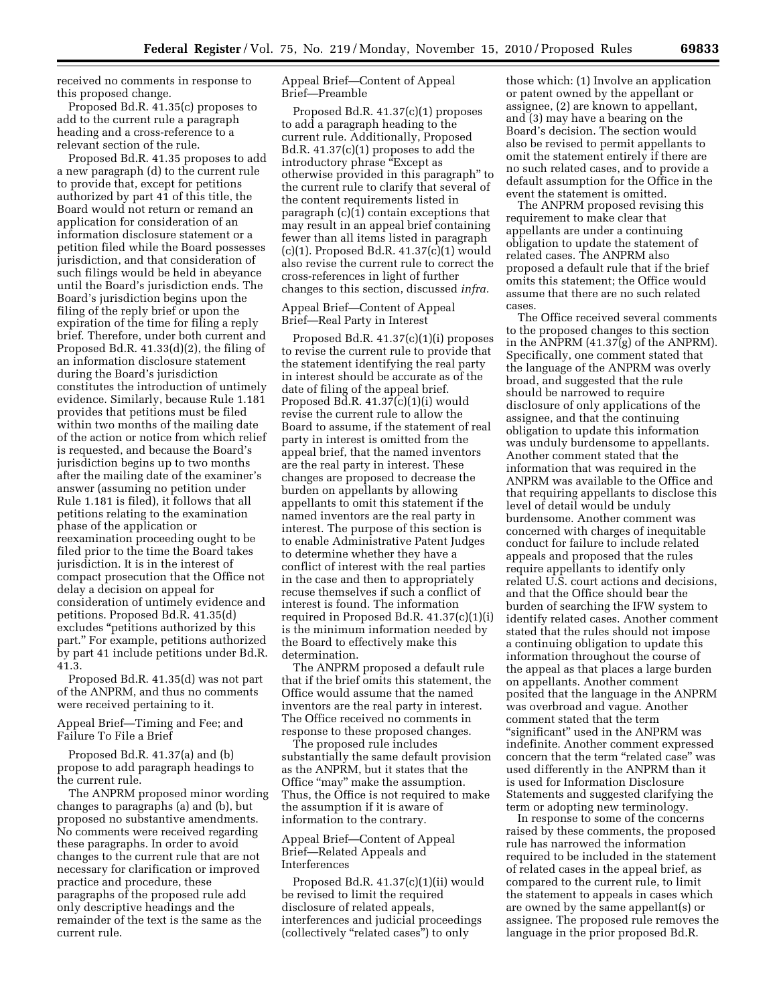received no comments in response to this proposed change.

Proposed Bd.R. 41.35(c) proposes to add to the current rule a paragraph heading and a cross-reference to a relevant section of the rule.

Proposed Bd.R. 41.35 proposes to add a new paragraph (d) to the current rule to provide that, except for petitions authorized by part 41 of this title, the Board would not return or remand an application for consideration of an information disclosure statement or a petition filed while the Board possesses jurisdiction, and that consideration of such filings would be held in abeyance until the Board's jurisdiction ends. The Board's jurisdiction begins upon the filing of the reply brief or upon the expiration of the time for filing a reply brief. Therefore, under both current and Proposed Bd.R. 41.33(d)(2), the filing of an information disclosure statement during the Board's jurisdiction constitutes the introduction of untimely evidence. Similarly, because Rule 1.181 provides that petitions must be filed within two months of the mailing date of the action or notice from which relief is requested, and because the Board's jurisdiction begins up to two months after the mailing date of the examiner's answer (assuming no petition under Rule 1.181 is filed), it follows that all petitions relating to the examination phase of the application or reexamination proceeding ought to be filed prior to the time the Board takes jurisdiction. It is in the interest of compact prosecution that the Office not delay a decision on appeal for consideration of untimely evidence and petitions. Proposed Bd.R. 41.35(d) excludes ''petitions authorized by this part.'' For example, petitions authorized by part 41 include petitions under Bd.R. 41.3.

Proposed Bd.R. 41.35(d) was not part of the ANPRM, and thus no comments were received pertaining to it.

Appeal Brief—Timing and Fee; and Failure To File a Brief

Proposed Bd.R. 41.37(a) and (b) propose to add paragraph headings to the current rule.

The ANPRM proposed minor wording changes to paragraphs (a) and (b), but proposed no substantive amendments. No comments were received regarding these paragraphs. In order to avoid changes to the current rule that are not necessary for clarification or improved practice and procedure, these paragraphs of the proposed rule add only descriptive headings and the remainder of the text is the same as the current rule.

Appeal Brief—Content of Appeal Brief—Preamble

Proposed Bd.R. 41.37(c)(1) proposes to add a paragraph heading to the current rule. Additionally, Proposed Bd.R. 41.37(c)(1) proposes to add the introductory phrase "Except as otherwise provided in this paragraph'' to the current rule to clarify that several of the content requirements listed in paragraph (c)(1) contain exceptions that may result in an appeal brief containing fewer than all items listed in paragraph  $(c)(1)$ . Proposed Bd.R. 41.37 $(c)(1)$  would also revise the current rule to correct the cross-references in light of further changes to this section, discussed *infra.* 

Appeal Brief—Content of Appeal Brief—Real Party in Interest

Proposed Bd.R. 41.37(c)(1)(i) proposes to revise the current rule to provide that the statement identifying the real party in interest should be accurate as of the date of filing of the appeal brief. Proposed Bd.R. 41.37(c)(1)(i) would revise the current rule to allow the Board to assume, if the statement of real party in interest is omitted from the appeal brief, that the named inventors are the real party in interest. These changes are proposed to decrease the burden on appellants by allowing appellants to omit this statement if the named inventors are the real party in interest. The purpose of this section is to enable Administrative Patent Judges to determine whether they have a conflict of interest with the real parties in the case and then to appropriately recuse themselves if such a conflict of interest is found. The information required in Proposed Bd.R. 41.37(c)(1)(i) is the minimum information needed by the Board to effectively make this determination.

The ANPRM proposed a default rule that if the brief omits this statement, the Office would assume that the named inventors are the real party in interest. The Office received no comments in response to these proposed changes.

The proposed rule includes substantially the same default provision as the ANPRM, but it states that the Office ''may'' make the assumption. Thus, the Office is not required to make the assumption if it is aware of information to the contrary.

# Appeal Brief—Content of Appeal Brief—Related Appeals and Interferences

Proposed Bd.R. 41.37(c)(1)(ii) would be revised to limit the required disclosure of related appeals, interferences and judicial proceedings (collectively ''related cases'') to only

those which: (1) Involve an application or patent owned by the appellant or assignee, (2) are known to appellant, and (3) may have a bearing on the Board's decision. The section would also be revised to permit appellants to omit the statement entirely if there are no such related cases, and to provide a default assumption for the Office in the event the statement is omitted.

The ANPRM proposed revising this requirement to make clear that appellants are under a continuing obligation to update the statement of related cases. The ANPRM also proposed a default rule that if the brief omits this statement; the Office would assume that there are no such related cases.

The Office received several comments to the proposed changes to this section in the ANPRM (41.37(g) of the ANPRM). Specifically, one comment stated that the language of the ANPRM was overly broad, and suggested that the rule should be narrowed to require disclosure of only applications of the assignee, and that the continuing obligation to update this information was unduly burdensome to appellants. Another comment stated that the information that was required in the ANPRM was available to the Office and that requiring appellants to disclose this level of detail would be unduly burdensome. Another comment was concerned with charges of inequitable conduct for failure to include related appeals and proposed that the rules require appellants to identify only related U.S. court actions and decisions, and that the Office should bear the burden of searching the IFW system to identify related cases. Another comment stated that the rules should not impose a continuing obligation to update this information throughout the course of the appeal as that places a large burden on appellants. Another comment posited that the language in the ANPRM was overbroad and vague. Another comment stated that the term ''significant'' used in the ANPRM was indefinite. Another comment expressed concern that the term "related case" was used differently in the ANPRM than it is used for Information Disclosure Statements and suggested clarifying the term or adopting new terminology.

In response to some of the concerns raised by these comments, the proposed rule has narrowed the information required to be included in the statement of related cases in the appeal brief, as compared to the current rule, to limit the statement to appeals in cases which are owned by the same appellant(s) or assignee. The proposed rule removes the language in the prior proposed Bd.R.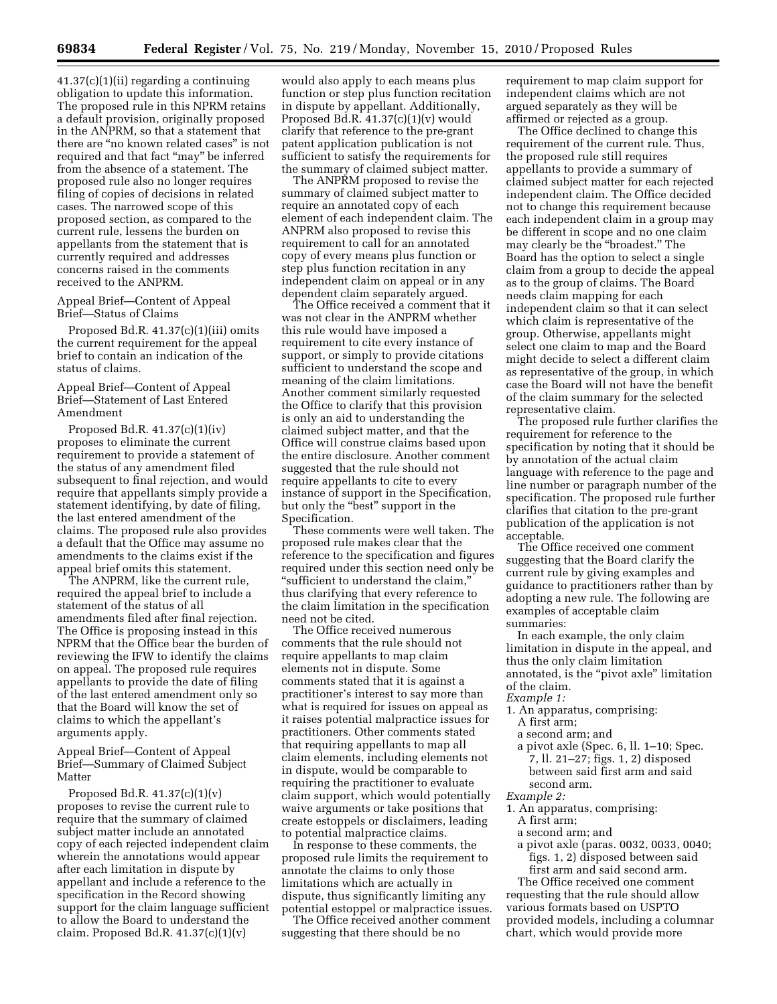41.37(c)(1)(ii) regarding a continuing obligation to update this information. The proposed rule in this NPRM retains a default provision, originally proposed in the ANPRM, so that a statement that there are ''no known related cases'' is not required and that fact ''may'' be inferred from the absence of a statement. The proposed rule also no longer requires filing of copies of decisions in related cases. The narrowed scope of this proposed section, as compared to the current rule, lessens the burden on appellants from the statement that is currently required and addresses concerns raised in the comments received to the ANPRM.

## Appeal Brief—Content of Appeal Brief—Status of Claims

Proposed Bd.R. 41.37(c)(1)(iii) omits the current requirement for the appeal brief to contain an indication of the status of claims.

# Appeal Brief—Content of Appeal Brief—Statement of Last Entered Amendment

Proposed Bd.R. 41.37(c)(1)(iv) proposes to eliminate the current requirement to provide a statement of the status of any amendment filed subsequent to final rejection, and would require that appellants simply provide a statement identifying, by date of filing, the last entered amendment of the claims. The proposed rule also provides a default that the Office may assume no amendments to the claims exist if the appeal brief omits this statement.

The ANPRM, like the current rule, required the appeal brief to include a statement of the status of all amendments filed after final rejection. The Office is proposing instead in this NPRM that the Office bear the burden of reviewing the IFW to identify the claims on appeal. The proposed rule requires appellants to provide the date of filing of the last entered amendment only so that the Board will know the set of claims to which the appellant's arguments apply.

# Appeal Brief—Content of Appeal Brief—Summary of Claimed Subject Matter

Proposed Bd.R. 41.37(c)(1)(v) proposes to revise the current rule to require that the summary of claimed subject matter include an annotated copy of each rejected independent claim wherein the annotations would appear after each limitation in dispute by appellant and include a reference to the specification in the Record showing support for the claim language sufficient to allow the Board to understand the claim. Proposed Bd.R.  $41.37(c)(1)(v)$ 

would also apply to each means plus function or step plus function recitation in dispute by appellant. Additionally, Proposed Bd.R. 41.37(c)(1)(v) would clarify that reference to the pre-grant patent application publication is not sufficient to satisfy the requirements for the summary of claimed subject matter.

The ANPRM proposed to revise the summary of claimed subject matter to require an annotated copy of each element of each independent claim. The ANPRM also proposed to revise this requirement to call for an annotated copy of every means plus function or step plus function recitation in any independent claim on appeal or in any dependent claim separately argued.

The Office received a comment that it was not clear in the ANPRM whether this rule would have imposed a requirement to cite every instance of support, or simply to provide citations sufficient to understand the scope and meaning of the claim limitations. Another comment similarly requested the Office to clarify that this provision is only an aid to understanding the claimed subject matter, and that the Office will construe claims based upon the entire disclosure. Another comment suggested that the rule should not require appellants to cite to every instance of support in the Specification, but only the "best" support in the Specification.

These comments were well taken. The proposed rule makes clear that the reference to the specification and figures required under this section need only be ''sufficient to understand the claim,'' thus clarifying that every reference to the claim limitation in the specification need not be cited.

The Office received numerous comments that the rule should not require appellants to map claim elements not in dispute. Some comments stated that it is against a practitioner's interest to say more than what is required for issues on appeal as it raises potential malpractice issues for practitioners. Other comments stated that requiring appellants to map all claim elements, including elements not in dispute, would be comparable to requiring the practitioner to evaluate claim support, which would potentially waive arguments or take positions that create estoppels or disclaimers, leading to potential malpractice claims.

In response to these comments, the proposed rule limits the requirement to annotate the claims to only those limitations which are actually in dispute, thus significantly limiting any potential estoppel or malpractice issues.

The Office received another comment suggesting that there should be no

requirement to map claim support for independent claims which are not argued separately as they will be affirmed or rejected as a group.

The Office declined to change this requirement of the current rule. Thus, the proposed rule still requires appellants to provide a summary of claimed subject matter for each rejected independent claim. The Office decided not to change this requirement because each independent claim in a group may be different in scope and no one claim may clearly be the ''broadest.'' The Board has the option to select a single claim from a group to decide the appeal as to the group of claims. The Board needs claim mapping for each independent claim so that it can select which claim is representative of the group. Otherwise, appellants might select one claim to map and the Board might decide to select a different claim as representative of the group, in which case the Board will not have the benefit of the claim summary for the selected representative claim.

The proposed rule further clarifies the requirement for reference to the specification by noting that it should be by annotation of the actual claim language with reference to the page and line number or paragraph number of the specification. The proposed rule further clarifies that citation to the pre-grant publication of the application is not acceptable.

The Office received one comment suggesting that the Board clarify the current rule by giving examples and guidance to practitioners rather than by adopting a new rule. The following are examples of acceptable claim summaries:

In each example, the only claim limitation in dispute in the appeal, and thus the only claim limitation annotated, is the "pivot axle" limitation of the claim.

# *Example 1:*

1. An apparatus, comprising: A first arm;

a second arm; and

a pivot axle (Spec. 6, ll. 1–10; Spec.

7, ll. 21–27; figs. 1, 2) disposed between said first arm and said second arm.

#### *Example 2:*

- 1. An apparatus, comprising:
	- A first arm;
- a second arm; and
- a pivot axle (paras. 0032, 0033, 0040; figs. 1, 2) disposed between said first arm and said second arm.

The Office received one comment requesting that the rule should allow various formats based on USPTO provided models, including a columnar chart, which would provide more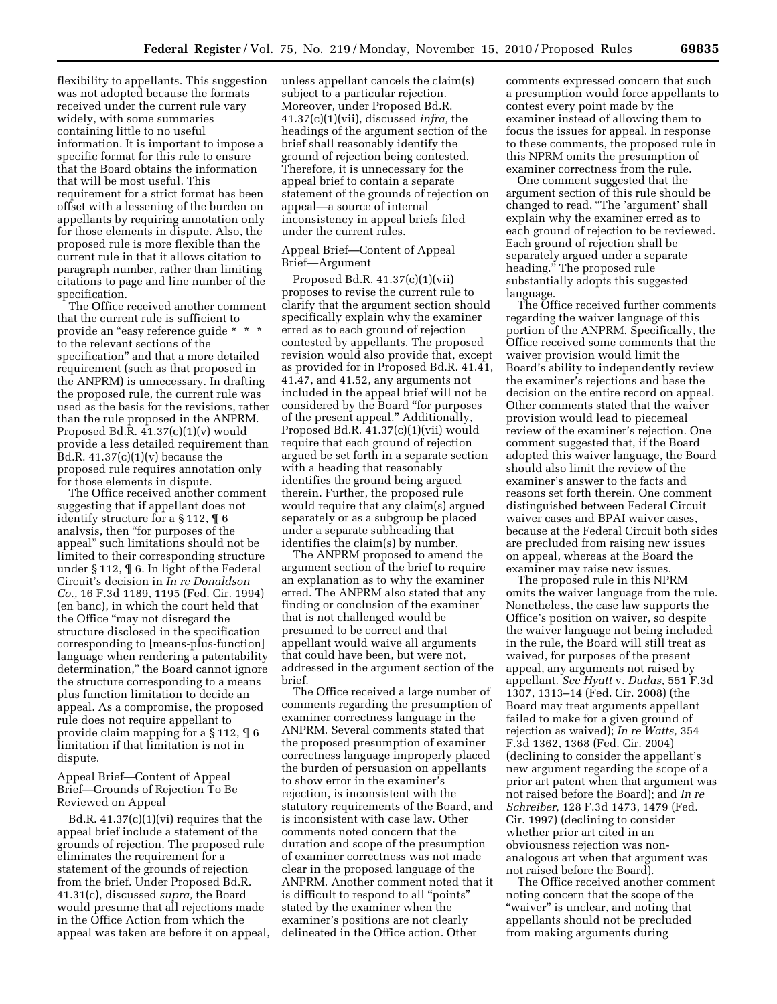flexibility to appellants. This suggestion was not adopted because the formats received under the current rule vary widely, with some summaries containing little to no useful information. It is important to impose a specific format for this rule to ensure that the Board obtains the information that will be most useful. This requirement for a strict format has been offset with a lessening of the burden on appellants by requiring annotation only for those elements in dispute. Also, the proposed rule is more flexible than the current rule in that it allows citation to paragraph number, rather than limiting citations to page and line number of the specification.

The Office received another comment that the current rule is sufficient to provide an "easy reference guide \* \* \* to the relevant sections of the specification'' and that a more detailed requirement (such as that proposed in the ANPRM) is unnecessary. In drafting the proposed rule, the current rule was used as the basis for the revisions, rather than the rule proposed in the ANPRM. Proposed Bd.R. 41.37(c)(1)(v) would provide a less detailed requirement than Bd.R.  $41.37(c)(1)(v)$  because the proposed rule requires annotation only for those elements in dispute.

The Office received another comment suggesting that if appellant does not identify structure for a § 112, ¶ 6 analysis, then ''for purposes of the appeal'' such limitations should not be limited to their corresponding structure under § 112, ¶ 6. In light of the Federal Circuit's decision in *In re Donaldson Co.,* 16 F.3d 1189, 1195 (Fed. Cir. 1994) (en banc), in which the court held that the Office ''may not disregard the structure disclosed in the specification corresponding to [means-plus-function] language when rendering a patentability determination,'' the Board cannot ignore the structure corresponding to a means plus function limitation to decide an appeal. As a compromise, the proposed rule does not require appellant to provide claim mapping for a § 112, ¶ 6 limitation if that limitation is not in dispute.

Appeal Brief—Content of Appeal Brief—Grounds of Rejection To Be Reviewed on Appeal

Bd.R. 41.37(c)(1)(vi) requires that the appeal brief include a statement of the grounds of rejection. The proposed rule eliminates the requirement for a statement of the grounds of rejection from the brief. Under Proposed Bd.R. 41.31(c), discussed *supra,* the Board would presume that all rejections made in the Office Action from which the appeal was taken are before it on appeal,

unless appellant cancels the claim(s) subject to a particular rejection. Moreover, under Proposed Bd.R. 41.37(c)(1)(vii), discussed *infra,* the headings of the argument section of the brief shall reasonably identify the ground of rejection being contested. Therefore, it is unnecessary for the appeal brief to contain a separate statement of the grounds of rejection on appeal—a source of internal inconsistency in appeal briefs filed under the current rules.

# Appeal Brief—Content of Appeal Brief—Argument

Proposed Bd.R. 41.37(c)(1)(vii) proposes to revise the current rule to clarify that the argument section should specifically explain why the examiner erred as to each ground of rejection contested by appellants. The proposed revision would also provide that, except as provided for in Proposed Bd.R. 41.41, 41.47, and 41.52, any arguments not included in the appeal brief will not be considered by the Board ''for purposes of the present appeal.'' Additionally, Proposed Bd.R. 41.37(c)(1)(vii) would require that each ground of rejection argued be set forth in a separate section with a heading that reasonably identifies the ground being argued therein. Further, the proposed rule would require that any claim(s) argued separately or as a subgroup be placed under a separate subheading that identifies the claim(s) by number.

The ANPRM proposed to amend the argument section of the brief to require an explanation as to why the examiner erred. The ANPRM also stated that any finding or conclusion of the examiner that is not challenged would be presumed to be correct and that appellant would waive all arguments that could have been, but were not, addressed in the argument section of the brief.

The Office received a large number of comments regarding the presumption of examiner correctness language in the ANPRM. Several comments stated that the proposed presumption of examiner correctness language improperly placed the burden of persuasion on appellants to show error in the examiner's rejection, is inconsistent with the statutory requirements of the Board, and is inconsistent with case law. Other comments noted concern that the duration and scope of the presumption of examiner correctness was not made clear in the proposed language of the ANPRM. Another comment noted that it is difficult to respond to all ''points'' stated by the examiner when the examiner's positions are not clearly delineated in the Office action. Other

comments expressed concern that such a presumption would force appellants to contest every point made by the examiner instead of allowing them to focus the issues for appeal. In response to these comments, the proposed rule in this NPRM omits the presumption of examiner correctness from the rule.

One comment suggested that the argument section of this rule should be changed to read, ''The 'argument' shall explain why the examiner erred as to each ground of rejection to be reviewed. Each ground of rejection shall be separately argued under a separate heading.'' The proposed rule substantially adopts this suggested language.

The Office received further comments regarding the waiver language of this portion of the ANPRM. Specifically, the Office received some comments that the waiver provision would limit the Board's ability to independently review the examiner's rejections and base the decision on the entire record on appeal. Other comments stated that the waiver provision would lead to piecemeal review of the examiner's rejection. One comment suggested that, if the Board adopted this waiver language, the Board should also limit the review of the examiner's answer to the facts and reasons set forth therein. One comment distinguished between Federal Circuit waiver cases and BPAI waiver cases, because at the Federal Circuit both sides are precluded from raising new issues on appeal, whereas at the Board the examiner may raise new issues.

The proposed rule in this NPRM omits the waiver language from the rule. Nonetheless, the case law supports the Office's position on waiver, so despite the waiver language not being included in the rule, the Board will still treat as waived, for purposes of the present appeal, any arguments not raised by appellant. *See Hyatt* v. *Dudas,* 551 F.3d 1307, 1313–14 (Fed. Cir. 2008) (the Board may treat arguments appellant failed to make for a given ground of rejection as waived); *In re Watts,* 354 F.3d 1362, 1368 (Fed. Cir. 2004) (declining to consider the appellant's new argument regarding the scope of a prior art patent when that argument was not raised before the Board); and *In re Schreiber,* 128 F.3d 1473, 1479 (Fed. Cir. 1997) (declining to consider whether prior art cited in an obviousness rejection was nonanalogous art when that argument was not raised before the Board).

The Office received another comment noting concern that the scope of the "waiver" is unclear, and noting that appellants should not be precluded from making arguments during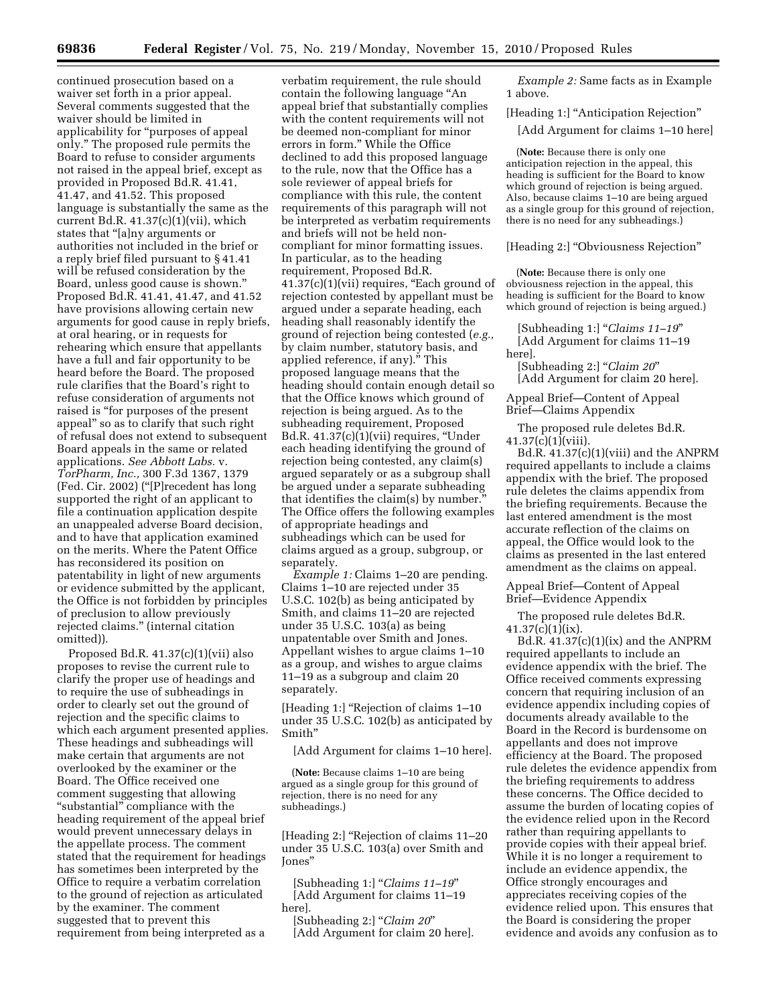continued prosecution based on a waiver set forth in a prior appeal. Several comments suggested that the waiver should be limited in applicability for ''purposes of appeal only.'' The proposed rule permits the Board to refuse to consider arguments not raised in the appeal brief, except as provided in Proposed Bd.R. 41.41, 41.47, and 41.52. This proposed language is substantially the same as the current Bd.R.  $41.37(c)(1)(vii)$ , which states that ''[a]ny arguments or authorities not included in the brief or a reply brief filed pursuant to § 41.41 will be refused consideration by the Board, unless good cause is shown.'' Proposed Bd.R. 41.41, 41.47, and 41.52 have provisions allowing certain new arguments for good cause in reply briefs, at oral hearing, or in requests for rehearing which ensure that appellants have a full and fair opportunity to be heard before the Board. The proposed rule clarifies that the Board's right to refuse consideration of arguments not raised is "for purposes of the present appeal'' so as to clarify that such right of refusal does not extend to subsequent Board appeals in the same or related applications. *See Abbott Labs.* v. *TorPharm, Inc.,* 300 F.3d 1367, 1379 (Fed. Cir. 2002) (''[P]recedent has long supported the right of an applicant to file a continuation application despite an unappealed adverse Board decision, and to have that application examined on the merits. Where the Patent Office has reconsidered its position on patentability in light of new arguments or evidence submitted by the applicant, the Office is not forbidden by principles of preclusion to allow previously rejected claims.'' (internal citation omitted)).

Proposed Bd.R. 41.37(c)(1)(vii) also proposes to revise the current rule to clarify the proper use of headings and to require the use of subheadings in order to clearly set out the ground of rejection and the specific claims to which each argument presented applies. These headings and subheadings will make certain that arguments are not overlooked by the examiner or the Board. The Office received one comment suggesting that allowing ''substantial'' compliance with the heading requirement of the appeal brief would prevent unnecessary delays in the appellate process. The comment stated that the requirement for headings has sometimes been interpreted by the Office to require a verbatim correlation to the ground of rejection as articulated by the examiner. The comment suggested that to prevent this requirement from being interpreted as a

verbatim requirement, the rule should contain the following language ''An appeal brief that substantially complies with the content requirements will not be deemed non-compliant for minor errors in form.'' While the Office declined to add this proposed language to the rule, now that the Office has a sole reviewer of appeal briefs for compliance with this rule, the content requirements of this paragraph will not be interpreted as verbatim requirements and briefs will not be held noncompliant for minor formatting issues. In particular, as to the heading requirement, Proposed Bd.R. 41.37(c)(1)(vii) requires, ''Each ground of rejection contested by appellant must be argued under a separate heading, each heading shall reasonably identify the ground of rejection being contested (*e.g.,*  by claim number, statutory basis, and applied reference, if any).'' This proposed language means that the heading should contain enough detail so that the Office knows which ground of rejection is being argued. As to the subheading requirement, Proposed Bd.R.  $41.37(c)(1)(vii)$  requires, "Under each heading identifying the ground of rejection being contested, any claim(s) argued separately or as a subgroup shall be argued under a separate subheading that identifies the claim(s) by number.'' The Office offers the following examples of appropriate headings and subheadings which can be used for claims argued as a group, subgroup, or separately.

*Example 1:* Claims 1–20 are pending. Claims 1–10 are rejected under 35 U.S.C. 102(b) as being anticipated by Smith, and claims 11–20 are rejected under 35 U.S.C. 103(a) as being unpatentable over Smith and Jones. Appellant wishes to argue claims 1–10 as a group, and wishes to argue claims 11–19 as a subgroup and claim 20 separately.

[Heading 1:] ''Rejection of claims 1–10 under 35 U.S.C. 102(b) as anticipated by Smith''

[Add Argument for claims 1–10 here].

(**Note:** Because claims 1–10 are being argued as a single group for this ground of rejection, there is no need for any subheadings.)

[Heading 2:] ''Rejection of claims 11–20 under 35 U.S.C. 103(a) over Smith and Jones''

[Subheading 1:] ''*Claims 11–19*'' [Add Argument for claims 11–19 here].

[Subheading 2:] ''*Claim 20*'' [Add Argument for claim 20 here].

*Example 2:* Same facts as in Example 1 above.

[Heading 1:] ''Anticipation Rejection''

[Add Argument for claims 1–10 here]

(**Note:** Because there is only one anticipation rejection in the appeal, this heading is sufficient for the Board to know which ground of rejection is being argued. Also, because claims 1–10 are being argued as a single group for this ground of rejection, there is no need for any subheadings.)

[Heading 2:] ''Obviousness Rejection''

(**Note:** Because there is only one obviousness rejection in the appeal, this heading is sufficient for the Board to know which ground of rejection is being argued.)

[Subheading 1:] ''*Claims 11–19*'' [Add Argument for claims 11–19 here].

[Subheading 2:] ''*Claim 20*'' [Add Argument for claim 20 here].

Appeal Brief—Content of Appeal Brief—Claims Appendix

The proposed rule deletes Bd.R.  $41.37(c)(1)(viii)$ .

Bd.R. 41.37(c)(1)(viii) and the ANPRM required appellants to include a claims appendix with the brief. The proposed rule deletes the claims appendix from the briefing requirements. Because the last entered amendment is the most accurate reflection of the claims on appeal, the Office would look to the claims as presented in the last entered amendment as the claims on appeal.

Appeal Brief—Content of Appeal Brief—Evidence Appendix

The proposed rule deletes Bd.R.  $41.37(c)(1)(ix)$ .

Bd.R.  $41.37(c)(1)(ix)$  and the ANPRM required appellants to include an evidence appendix with the brief. The Office received comments expressing concern that requiring inclusion of an evidence appendix including copies of documents already available to the Board in the Record is burdensome on appellants and does not improve efficiency at the Board. The proposed rule deletes the evidence appendix from the briefing requirements to address these concerns. The Office decided to assume the burden of locating copies of the evidence relied upon in the Record rather than requiring appellants to provide copies with their appeal brief. While it is no longer a requirement to include an evidence appendix, the Office strongly encourages and appreciates receiving copies of the evidence relied upon. This ensures that the Board is considering the proper evidence and avoids any confusion as to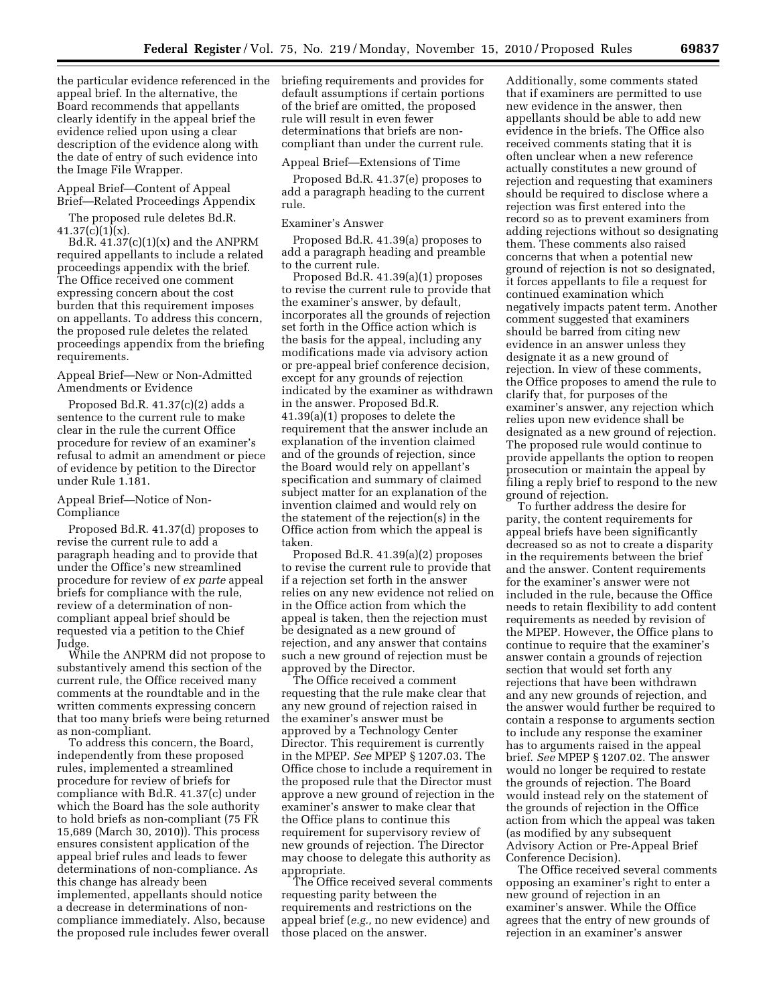the particular evidence referenced in the briefing requirements and provides for appeal brief. In the alternative, the Board recommends that appellants clearly identify in the appeal brief the evidence relied upon using a clear description of the evidence along with the date of entry of such evidence into the Image File Wrapper.

# Appeal Brief—Content of Appeal Brief—Related Proceedings Appendix

The proposed rule deletes Bd.R.  $41.37(c)(1)(x)$ .

Bd.R.  $41.37(c)(1)(x)$  and the ANPRM required appellants to include a related proceedings appendix with the brief. The Office received one comment expressing concern about the cost burden that this requirement imposes on appellants. To address this concern, the proposed rule deletes the related proceedings appendix from the briefing requirements.

Appeal Brief—New or Non-Admitted Amendments or Evidence

Proposed Bd.R. 41.37(c)(2) adds a sentence to the current rule to make clear in the rule the current Office procedure for review of an examiner's refusal to admit an amendment or piece of evidence by petition to the Director under Rule 1.181.

# Appeal Brief—Notice of Non-Compliance

Proposed Bd.R. 41.37(d) proposes to revise the current rule to add a paragraph heading and to provide that under the Office's new streamlined procedure for review of *ex parte* appeal briefs for compliance with the rule, review of a determination of noncompliant appeal brief should be requested via a petition to the Chief Judge.

While the ANPRM did not propose to substantively amend this section of the current rule, the Office received many comments at the roundtable and in the written comments expressing concern that too many briefs were being returned as non-compliant.

To address this concern, the Board, independently from these proposed rules, implemented a streamlined procedure for review of briefs for compliance with Bd.R. 41.37(c) under which the Board has the sole authority to hold briefs as non-compliant (75 FR 15,689 (March 30, 2010)). This process ensures consistent application of the appeal brief rules and leads to fewer determinations of non-compliance. As this change has already been implemented, appellants should notice a decrease in determinations of noncompliance immediately. Also, because the proposed rule includes fewer overall

default assumptions if certain portions of the brief are omitted, the proposed rule will result in even fewer determinations that briefs are noncompliant than under the current rule.

## Appeal Brief—Extensions of Time

Proposed Bd.R. 41.37(e) proposes to add a paragraph heading to the current rule.

## Examiner's Answer

Proposed Bd.R. 41.39(a) proposes to add a paragraph heading and preamble to the current rule.

Proposed Bd.R. 41.39(a)(1) proposes to revise the current rule to provide that the examiner's answer, by default, incorporates all the grounds of rejection set forth in the Office action which is the basis for the appeal, including any modifications made via advisory action or pre-appeal brief conference decision, except for any grounds of rejection indicated by the examiner as withdrawn in the answer. Proposed Bd.R. 41.39(a)(1) proposes to delete the requirement that the answer include an explanation of the invention claimed and of the grounds of rejection, since the Board would rely on appellant's specification and summary of claimed subject matter for an explanation of the invention claimed and would rely on the statement of the rejection(s) in the Office action from which the appeal is taken.

Proposed Bd.R. 41.39(a)(2) proposes to revise the current rule to provide that if a rejection set forth in the answer relies on any new evidence not relied on in the Office action from which the appeal is taken, then the rejection must be designated as a new ground of rejection, and any answer that contains such a new ground of rejection must be approved by the Director.

The Office received a comment requesting that the rule make clear that any new ground of rejection raised in the examiner's answer must be approved by a Technology Center Director. This requirement is currently in the MPEP. *See* MPEP § 1207.03. The Office chose to include a requirement in the proposed rule that the Director must approve a new ground of rejection in the examiner's answer to make clear that the Office plans to continue this requirement for supervisory review of new grounds of rejection. The Director may choose to delegate this authority as appropriate.

The Office received several comments requesting parity between the requirements and restrictions on the appeal brief (*e.g.,* no new evidence) and those placed on the answer.

Additionally, some comments stated that if examiners are permitted to use new evidence in the answer, then appellants should be able to add new evidence in the briefs. The Office also received comments stating that it is often unclear when a new reference actually constitutes a new ground of rejection and requesting that examiners should be required to disclose where a rejection was first entered into the record so as to prevent examiners from adding rejections without so designating them. These comments also raised concerns that when a potential new ground of rejection is not so designated, it forces appellants to file a request for continued examination which negatively impacts patent term. Another comment suggested that examiners should be barred from citing new evidence in an answer unless they designate it as a new ground of rejection. In view of these comments, the Office proposes to amend the rule to clarify that, for purposes of the examiner's answer, any rejection which relies upon new evidence shall be designated as a new ground of rejection. The proposed rule would continue to provide appellants the option to reopen prosecution or maintain the appeal by filing a reply brief to respond to the new ground of rejection.

To further address the desire for parity, the content requirements for appeal briefs have been significantly decreased so as not to create a disparity in the requirements between the brief and the answer. Content requirements for the examiner's answer were not included in the rule, because the Office needs to retain flexibility to add content requirements as needed by revision of the MPEP. However, the Office plans to continue to require that the examiner's answer contain a grounds of rejection section that would set forth any rejections that have been withdrawn and any new grounds of rejection, and the answer would further be required to contain a response to arguments section to include any response the examiner has to arguments raised in the appeal brief. *See* MPEP § 1207.02. The answer would no longer be required to restate the grounds of rejection. The Board would instead rely on the statement of the grounds of rejection in the Office action from which the appeal was taken (as modified by any subsequent Advisory Action or Pre-Appeal Brief Conference Decision).

The Office received several comments opposing an examiner's right to enter a new ground of rejection in an examiner's answer. While the Office agrees that the entry of new grounds of rejection in an examiner's answer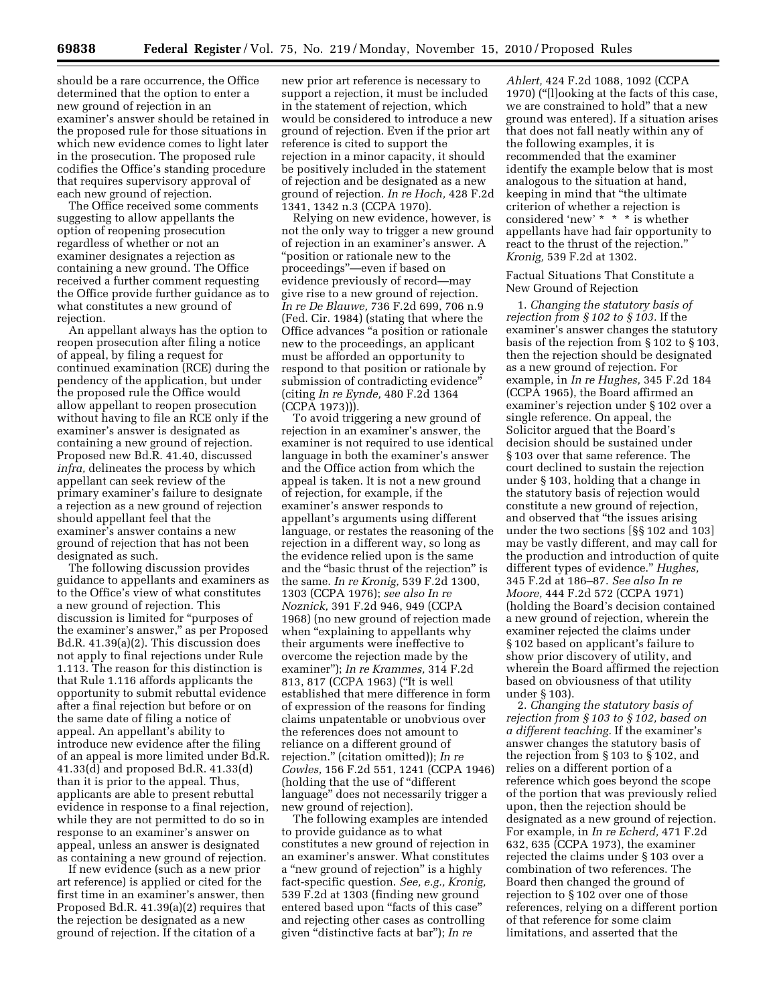should be a rare occurrence, the Office determined that the option to enter a new ground of rejection in an examiner's answer should be retained in the proposed rule for those situations in which new evidence comes to light later in the prosecution. The proposed rule codifies the Office's standing procedure that requires supervisory approval of each new ground of rejection.

The Office received some comments suggesting to allow appellants the option of reopening prosecution regardless of whether or not an examiner designates a rejection as containing a new ground. The Office received a further comment requesting the Office provide further guidance as to what constitutes a new ground of rejection.

An appellant always has the option to reopen prosecution after filing a notice of appeal, by filing a request for continued examination (RCE) during the pendency of the application, but under the proposed rule the Office would allow appellant to reopen prosecution without having to file an RCE only if the examiner's answer is designated as containing a new ground of rejection. Proposed new Bd.R. 41.40, discussed *infra,* delineates the process by which appellant can seek review of the primary examiner's failure to designate a rejection as a new ground of rejection should appellant feel that the examiner's answer contains a new ground of rejection that has not been designated as such.

The following discussion provides guidance to appellants and examiners as to the Office's view of what constitutes a new ground of rejection. This discussion is limited for ''purposes of the examiner's answer,'' as per Proposed Bd.R. 41.39(a)(2). This discussion does not apply to final rejections under Rule 1.113. The reason for this distinction is that Rule 1.116 affords applicants the opportunity to submit rebuttal evidence after a final rejection but before or on the same date of filing a notice of appeal. An appellant's ability to introduce new evidence after the filing of an appeal is more limited under Bd.R. 41.33(d) and proposed Bd.R. 41.33(d) than it is prior to the appeal. Thus, applicants are able to present rebuttal evidence in response to a final rejection, while they are not permitted to do so in response to an examiner's answer on appeal, unless an answer is designated as containing a new ground of rejection.

If new evidence (such as a new prior art reference) is applied or cited for the first time in an examiner's answer, then Proposed Bd.R. 41.39(a)(2) requires that the rejection be designated as a new ground of rejection. If the citation of a

new prior art reference is necessary to support a rejection, it must be included in the statement of rejection, which would be considered to introduce a new ground of rejection. Even if the prior art reference is cited to support the rejection in a minor capacity, it should be positively included in the statement of rejection and be designated as a new ground of rejection. *In re Hoch,* 428 F.2d 1341, 1342 n.3 (CCPA 1970).

Relying on new evidence, however, is not the only way to trigger a new ground of rejection in an examiner's answer. A ''position or rationale new to the proceedings''—even if based on evidence previously of record—may give rise to a new ground of rejection. *In re De Blauwe,* 736 F.2d 699, 706 n.9 (Fed. Cir. 1984) (stating that where the Office advances ''a position or rationale new to the proceedings, an applicant must be afforded an opportunity to respond to that position or rationale by submission of contradicting evidence'' (citing *In re Eynde,* 480 F.2d 1364 (CCPA 1973))).

To avoid triggering a new ground of rejection in an examiner's answer, the examiner is not required to use identical language in both the examiner's answer and the Office action from which the appeal is taken. It is not a new ground of rejection, for example, if the examiner's answer responds to appellant's arguments using different language, or restates the reasoning of the rejection in a different way, so long as the evidence relied upon is the same and the ''basic thrust of the rejection'' is the same. *In re Kronig,* 539 F.2d 1300, 1303 (CCPA 1976); *see also In re Noznick,* 391 F.2d 946, 949 (CCPA 1968) (no new ground of rejection made when "explaining to appellants why" their arguments were ineffective to overcome the rejection made by the examiner''); *In re Krammes,* 314 F.2d 813, 817 (CCPA 1963) (''It is well established that mere difference in form of expression of the reasons for finding claims unpatentable or unobvious over the references does not amount to reliance on a different ground of rejection.'' (citation omitted)); *In re Cowles,* 156 F.2d 551, 1241 (CCPA 1946) (holding that the use of ''different language'' does not necessarily trigger a new ground of rejection).

The following examples are intended to provide guidance as to what constitutes a new ground of rejection in an examiner's answer. What constitutes a ''new ground of rejection'' is a highly fact-specific question. *See, e.g., Kronig,*  539 F.2d at 1303 (finding new ground entered based upon "facts of this case" and rejecting other cases as controlling given ''distinctive facts at bar''); *In re* 

*Ahlert,* 424 F.2d 1088, 1092 (CCPA 1970) (''[l]ooking at the facts of this case, we are constrained to hold'' that a new ground was entered). If a situation arises that does not fall neatly within any of the following examples, it is recommended that the examiner identify the example below that is most analogous to the situation at hand, keeping in mind that ''the ultimate criterion of whether a rejection is considered 'new' \* \* \* is whether appellants have had fair opportunity to react to the thrust of the rejection.'' *Kronig,* 539 F.2d at 1302.

Factual Situations That Constitute a New Ground of Rejection

1. *Changing the statutory basis of rejection from § 102 to § 103.* If the examiner's answer changes the statutory basis of the rejection from § 102 to § 103, then the rejection should be designated as a new ground of rejection. For example, in *In re Hughes,* 345 F.2d 184 (CCPA 1965), the Board affirmed an examiner's rejection under § 102 over a single reference. On appeal, the Solicitor argued that the Board's decision should be sustained under § 103 over that same reference. The court declined to sustain the rejection under § 103, holding that a change in the statutory basis of rejection would constitute a new ground of rejection, and observed that ''the issues arising under the two sections [§§ 102 and 103] may be vastly different, and may call for the production and introduction of quite different types of evidence.'' *Hughes,*  345 F.2d at 186–87. *See also In re Moore,* 444 F.2d 572 (CCPA 1971) (holding the Board's decision contained a new ground of rejection, wherein the examiner rejected the claims under § 102 based on applicant's failure to show prior discovery of utility, and wherein the Board affirmed the rejection based on obviousness of that utility under § 103).

2. *Changing the statutory basis of rejection from § 103 to § 102, based on a different teaching.* If the examiner's answer changes the statutory basis of the rejection from § 103 to § 102, and relies on a different portion of a reference which goes beyond the scope of the portion that was previously relied upon, then the rejection should be designated as a new ground of rejection. For example, in *In re Echerd,* 471 F.2d 632, 635 (CCPA 1973), the examiner rejected the claims under § 103 over a combination of two references. The Board then changed the ground of rejection to § 102 over one of those references, relying on a different portion of that reference for some claim limitations, and asserted that the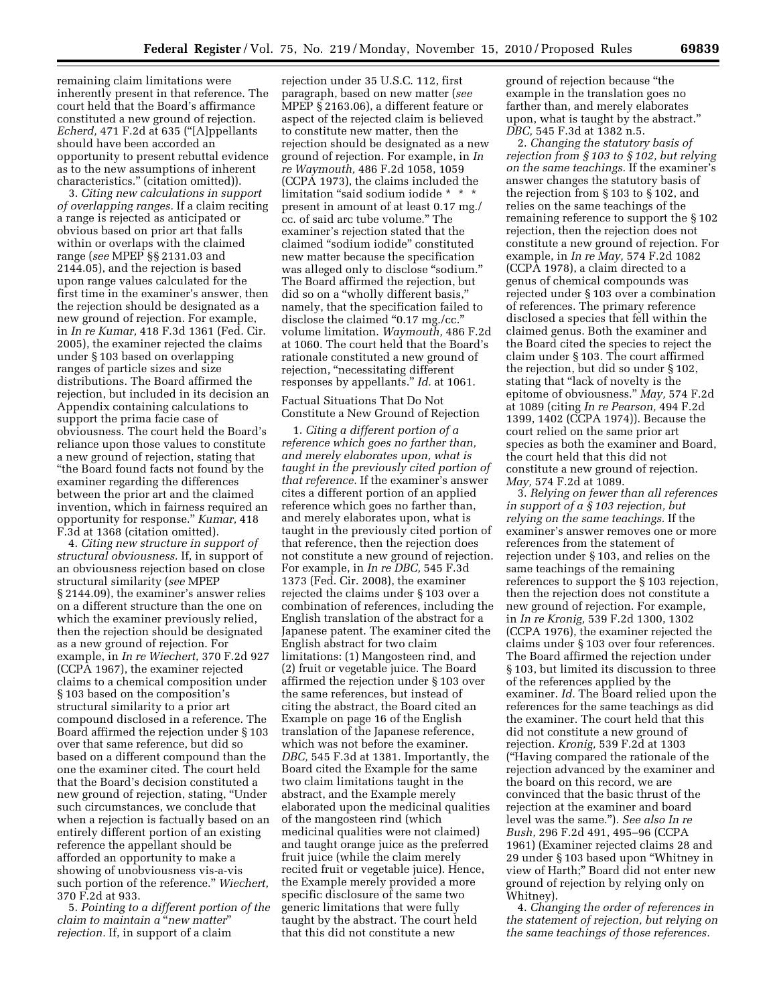remaining claim limitations were inherently present in that reference. The court held that the Board's affirmance constituted a new ground of rejection. *Echerd,* 471 F.2d at 635 (''[A]ppellants should have been accorded an opportunity to present rebuttal evidence as to the new assumptions of inherent characteristics.'' (citation omitted)).

3. *Citing new calculations in support of overlapping ranges.* If a claim reciting a range is rejected as anticipated or obvious based on prior art that falls within or overlaps with the claimed range (*see* MPEP §§ 2131.03 and 2144.05), and the rejection is based upon range values calculated for the first time in the examiner's answer, then the rejection should be designated as a new ground of rejection. For example, in *In re Kumar,* 418 F.3d 1361 (Fed. Cir. 2005), the examiner rejected the claims under § 103 based on overlapping ranges of particle sizes and size distributions. The Board affirmed the rejection, but included in its decision an Appendix containing calculations to support the prima facie case of obviousness. The court held the Board's reliance upon those values to constitute a new ground of rejection, stating that ''the Board found facts not found by the examiner regarding the differences between the prior art and the claimed invention, which in fairness required an opportunity for response.'' *Kumar,* 418 F.3d at 1368 (citation omitted).

4. *Citing new structure in support of structural obviousness.* If, in support of an obviousness rejection based on close structural similarity (*see* MPEP § 2144.09), the examiner's answer relies on a different structure than the one on which the examiner previously relied, then the rejection should be designated as a new ground of rejection. For example, in *In re Wiechert,* 370 F.2d 927 (CCPA 1967), the examiner rejected claims to a chemical composition under § 103 based on the composition's structural similarity to a prior art compound disclosed in a reference. The Board affirmed the rejection under § 103 over that same reference, but did so based on a different compound than the one the examiner cited. The court held that the Board's decision constituted a new ground of rejection, stating, ''Under such circumstances, we conclude that when a rejection is factually based on an entirely different portion of an existing reference the appellant should be afforded an opportunity to make a showing of unobviousness vis-a-vis such portion of the reference.'' *Wiechert,*  370 F.2d at 933.

5. *Pointing to a different portion of the claim to maintain a* ''*new matter*'' *rejection.* If, in support of a claim

rejection under 35 U.S.C. 112, first paragraph, based on new matter (*see*  MPEP § 2163.06), a different feature or aspect of the rejected claim is believed to constitute new matter, then the rejection should be designated as a new ground of rejection. For example, in *In re Waymouth,* 486 F.2d 1058, 1059 (CCPA 1973), the claims included the limitation "said sodium iodide \* \* \* present in amount of at least 0.17 mg./ cc. of said arc tube volume.'' The examiner's rejection stated that the claimed ''sodium iodide'' constituted new matter because the specification was alleged only to disclose ''sodium.'' The Board affirmed the rejection, but did so on a "wholly different basis," namely, that the specification failed to disclose the claimed "0.17 mg./cc." volume limitation. *Waymouth,* 486 F.2d at 1060. The court held that the Board's rationale constituted a new ground of rejection, "necessitating different responses by appellants.'' *Id.* at 1061.

### Factual Situations That Do Not Constitute a New Ground of Rejection

1. *Citing a different portion of a reference which goes no farther than, and merely elaborates upon, what is taught in the previously cited portion of that reference.* If the examiner's answer cites a different portion of an applied reference which goes no farther than, and merely elaborates upon, what is taught in the previously cited portion of that reference, then the rejection does not constitute a new ground of rejection. For example, in *In re DBC,* 545 F.3d 1373 (Fed. Cir. 2008), the examiner rejected the claims under § 103 over a combination of references, including the English translation of the abstract for a Japanese patent. The examiner cited the English abstract for two claim limitations: (1) Mangosteen rind, and (2) fruit or vegetable juice. The Board affirmed the rejection under § 103 over the same references, but instead of citing the abstract, the Board cited an Example on page 16 of the English translation of the Japanese reference, which was not before the examiner. *DBC,* 545 F.3d at 1381. Importantly, the Board cited the Example for the same two claim limitations taught in the abstract, and the Example merely elaborated upon the medicinal qualities of the mangosteen rind (which medicinal qualities were not claimed) and taught orange juice as the preferred fruit juice (while the claim merely recited fruit or vegetable juice). Hence, the Example merely provided a more specific disclosure of the same two generic limitations that were fully taught by the abstract. The court held that this did not constitute a new

ground of rejection because ''the example in the translation goes no farther than, and merely elaborates upon, what is taught by the abstract.'' *DBC,* 545 F.3d at 1382 n.5.

2. *Changing the statutory basis of rejection from § 103 to § 102, but relying on the same teachings.* If the examiner's answer changes the statutory basis of the rejection from § 103 to § 102, and relies on the same teachings of the remaining reference to support the § 102 rejection, then the rejection does not constitute a new ground of rejection. For example, in *In re May,* 574 F.2d 1082 (CCPA 1978), a claim directed to a genus of chemical compounds was rejected under § 103 over a combination of references. The primary reference disclosed a species that fell within the claimed genus. Both the examiner and the Board cited the species to reject the claim under § 103. The court affirmed the rejection, but did so under § 102, stating that "lack of novelty is the epitome of obviousness.'' *May,* 574 F.2d at 1089 (citing *In re Pearson,* 494 F.2d 1399, 1402 (CCPA 1974)). Because the court relied on the same prior art species as both the examiner and Board, the court held that this did not constitute a new ground of rejection. *May,* 574 F.2d at 1089.

3. *Relying on fewer than all references in support of a § 103 rejection, but relying on the same teachings.* If the examiner's answer removes one or more references from the statement of rejection under § 103, and relies on the same teachings of the remaining references to support the § 103 rejection, then the rejection does not constitute a new ground of rejection. For example, in *In re Kronig,* 539 F.2d 1300, 1302 (CCPA 1976), the examiner rejected the claims under § 103 over four references. The Board affirmed the rejection under § 103, but limited its discussion to three of the references applied by the examiner. *Id.* The Board relied upon the references for the same teachings as did the examiner. The court held that this did not constitute a new ground of rejection. *Kronig,* 539 F.2d at 1303 (''Having compared the rationale of the rejection advanced by the examiner and the board on this record, we are convinced that the basic thrust of the rejection at the examiner and board level was the same.''). *See also In re Bush,* 296 F.2d 491, 495–96 (CCPA 1961) (Examiner rejected claims 28 and 29 under § 103 based upon ''Whitney in view of Harth;'' Board did not enter new ground of rejection by relying only on Whitney).

4. *Changing the order of references in the statement of rejection, but relying on the same teachings of those references.*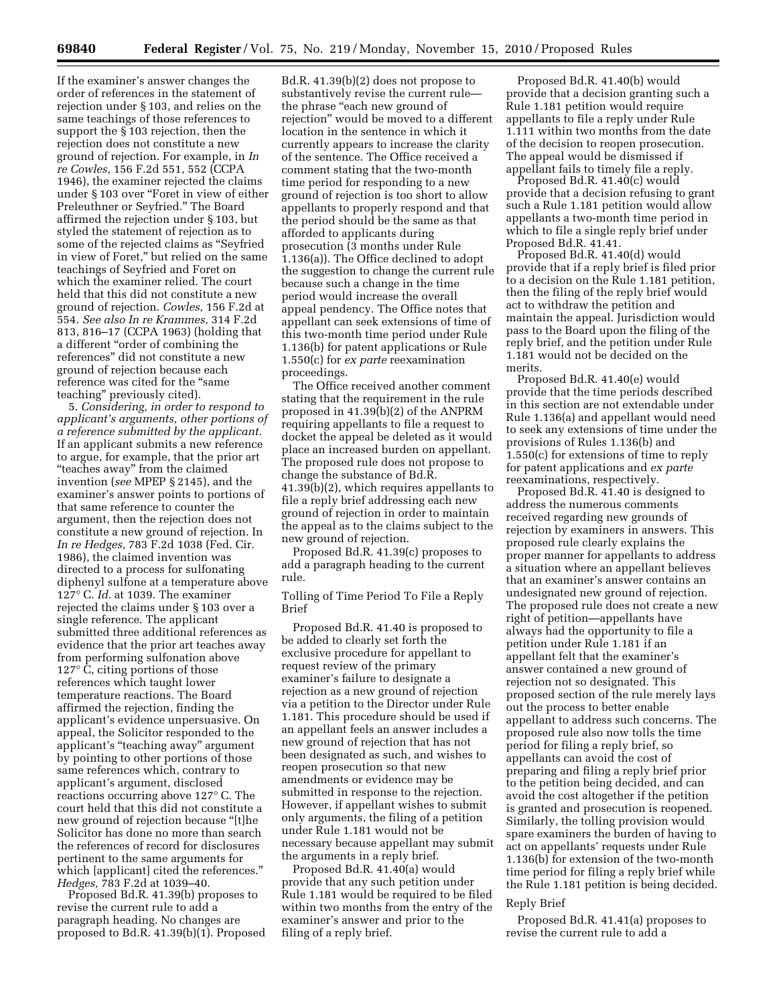If the examiner's answer changes the order of references in the statement of rejection under § 103, and relies on the same teachings of those references to support the § 103 rejection, then the rejection does not constitute a new ground of rejection. For example, in *In re Cowles,* 156 F.2d 551, 552 (CCPA 1946), the examiner rejected the claims under § 103 over "Foret in view of either Preleuthner or Seyfried.'' The Board affirmed the rejection under § 103, but styled the statement of rejection as to some of the rejected claims as ''Seyfried in view of Foret,'' but relied on the same teachings of Seyfried and Foret on which the examiner relied. The court held that this did not constitute a new ground of rejection. *Cowles,* 156 F.2d at 554. *See also In re Krammes,* 314 F.2d 813, 816–17 (CCPA 1963) (holding that a different ''order of combining the references'' did not constitute a new ground of rejection because each reference was cited for the ''same teaching'' previously cited).

5. *Considering, in order to respond to applicant's arguments, other portions of a reference submitted by the applicant.*  If an applicant submits a new reference to argue, for example, that the prior art ''teaches away'' from the claimed invention (*see* MPEP § 2145), and the examiner's answer points to portions of that same reference to counter the argument, then the rejection does not constitute a new ground of rejection. In *In re Hedges,* 783 F.2d 1038 (Fed. Cir. 1986), the claimed invention was directed to a process for sulfonating diphenyl sulfone at a temperature above 127° C. *Id.* at 1039. The examiner rejected the claims under § 103 over a single reference. The applicant submitted three additional references as evidence that the prior art teaches away from performing sulfonation above 127° C, citing portions of those references which taught lower temperature reactions. The Board affirmed the rejection, finding the applicant's evidence unpersuasive. On appeal, the Solicitor responded to the applicant's ''teaching away'' argument by pointing to other portions of those same references which, contrary to applicant's argument, disclosed reactions occurring above 127° C. The court held that this did not constitute a new ground of rejection because ''[t]he Solicitor has done no more than search the references of record for disclosures pertinent to the same arguments for which [applicant] cited the references." *Hedges,* 783 F.2d at 1039–40.

Proposed Bd.R. 41.39(b) proposes to revise the current rule to add a paragraph heading. No changes are proposed to Bd.R. 41.39(b)(1). Proposed

Bd.R. 41.39(b)(2) does not propose to substantively revise the current rule the phrase "each new ground of rejection'' would be moved to a different location in the sentence in which it currently appears to increase the clarity of the sentence. The Office received a comment stating that the two-month time period for responding to a new ground of rejection is too short to allow appellants to properly respond and that the period should be the same as that afforded to applicants during prosecution (3 months under Rule 1.136(a)). The Office declined to adopt the suggestion to change the current rule because such a change in the time period would increase the overall appeal pendency. The Office notes that appellant can seek extensions of time of this two-month time period under Rule 1.136(b) for patent applications or Rule 1.550(c) for *ex parte* reexamination proceedings.

The Office received another comment stating that the requirement in the rule proposed in 41.39(b)(2) of the ANPRM requiring appellants to file a request to docket the appeal be deleted as it would place an increased burden on appellant. The proposed rule does not propose to change the substance of Bd.R. 41.39(b)(2), which requires appellants to file a reply brief addressing each new ground of rejection in order to maintain the appeal as to the claims subject to the new ground of rejection.

Proposed Bd.R. 41.39(c) proposes to add a paragraph heading to the current rule.

Tolling of Time Period To File a Reply Brief

Proposed Bd.R. 41.40 is proposed to be added to clearly set forth the exclusive procedure for appellant to request review of the primary examiner's failure to designate a rejection as a new ground of rejection via a petition to the Director under Rule 1.181. This procedure should be used if an appellant feels an answer includes a new ground of rejection that has not been designated as such, and wishes to reopen prosecution so that new amendments or evidence may be submitted in response to the rejection. However, if appellant wishes to submit only arguments, the filing of a petition under Rule 1.181 would not be necessary because appellant may submit the arguments in a reply brief.

Proposed Bd.R. 41.40(a) would provide that any such petition under Rule 1.181 would be required to be filed within two months from the entry of the examiner's answer and prior to the filing of a reply brief.

Proposed Bd.R. 41.40(b) would provide that a decision granting such a Rule 1.181 petition would require appellants to file a reply under Rule 1.111 within two months from the date of the decision to reopen prosecution. The appeal would be dismissed if appellant fails to timely file a reply.

Proposed Bd.R. 41.40(c) would provide that a decision refusing to grant such a Rule 1.181 petition would allow appellants a two-month time period in which to file a single reply brief under Proposed Bd.R. 41.41.

Proposed Bd.R. 41.40(d) would provide that if a reply brief is filed prior to a decision on the Rule 1.181 petition, then the filing of the reply brief would act to withdraw the petition and maintain the appeal. Jurisdiction would pass to the Board upon the filing of the reply brief, and the petition under Rule 1.181 would not be decided on the merits.

Proposed Bd.R. 41.40(e) would provide that the time periods described in this section are not extendable under Rule 1.136(a) and appellant would need to seek any extensions of time under the provisions of Rules 1.136(b) and 1.550(c) for extensions of time to reply for patent applications and *ex parte*  reexaminations, respectively.

Proposed Bd.R. 41.40 is designed to address the numerous comments received regarding new grounds of rejection by examiners in answers. This proposed rule clearly explains the proper manner for appellants to address a situation where an appellant believes that an examiner's answer contains an undesignated new ground of rejection. The proposed rule does not create a new right of petition—appellants have always had the opportunity to file a petition under Rule 1.181 if an appellant felt that the examiner's answer contained a new ground of rejection not so designated. This proposed section of the rule merely lays out the process to better enable appellant to address such concerns. The proposed rule also now tolls the time period for filing a reply brief, so appellants can avoid the cost of preparing and filing a reply brief prior to the petition being decided, and can avoid the cost altogether if the petition is granted and prosecution is reopened. Similarly, the tolling provision would spare examiners the burden of having to act on appellants' requests under Rule 1.136(b) for extension of the two-month time period for filing a reply brief while the Rule 1.181 petition is being decided.

#### Reply Brief

Proposed Bd.R. 41.41(a) proposes to revise the current rule to add a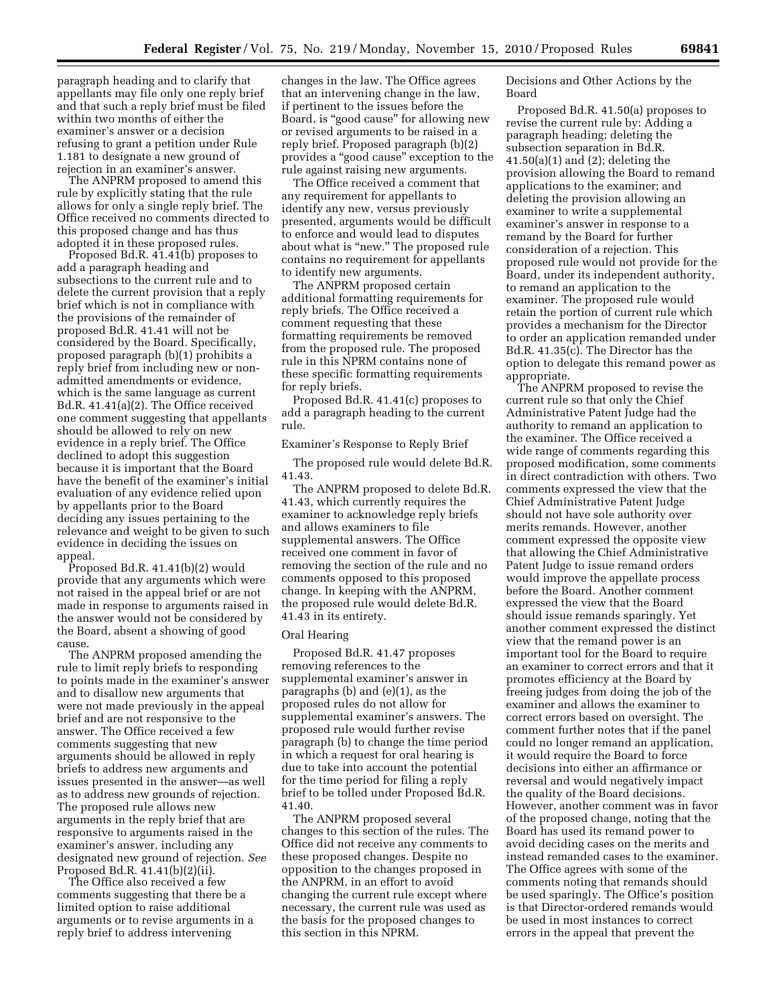paragraph heading and to clarify that appellants may file only one reply brief and that such a reply brief must be filed within two months of either the examiner's answer or a decision refusing to grant a petition under Rule 1.181 to designate a new ground of rejection in an examiner's answer.

The ANPRM proposed to amend this rule by explicitly stating that the rule allows for only a single reply brief. The Office received no comments directed to this proposed change and has thus adopted it in these proposed rules.

Proposed Bd.R. 41.41(b) proposes to add a paragraph heading and subsections to the current rule and to delete the current provision that a reply brief which is not in compliance with the provisions of the remainder of proposed Bd.R. 41.41 will not be considered by the Board. Specifically, proposed paragraph (b)(1) prohibits a reply brief from including new or nonadmitted amendments or evidence, which is the same language as current Bd.R. 41.41(a)(2). The Office received one comment suggesting that appellants should be allowed to rely on new evidence in a reply brief. The Office declined to adopt this suggestion because it is important that the Board have the benefit of the examiner's initial evaluation of any evidence relied upon by appellants prior to the Board deciding any issues pertaining to the relevance and weight to be given to such evidence in deciding the issues on appeal.

Proposed Bd.R. 41.41(b)(2) would provide that any arguments which were not raised in the appeal brief or are not made in response to arguments raised in the answer would not be considered by the Board, absent a showing of good cause.

The ANPRM proposed amending the rule to limit reply briefs to responding to points made in the examiner's answer and to disallow new arguments that were not made previously in the appeal brief and are not responsive to the answer. The Office received a few comments suggesting that new arguments should be allowed in reply briefs to address new arguments and issues presented in the answer—as well as to address new grounds of rejection. The proposed rule allows new arguments in the reply brief that are responsive to arguments raised in the examiner's answer, including any designated new ground of rejection. *See*  Proposed Bd.R. 41.41(b)(2)(ii).

The Office also received a few comments suggesting that there be a limited option to raise additional arguments or to revise arguments in a reply brief to address intervening

changes in the law. The Office agrees that an intervening change in the law, if pertinent to the issues before the Board, is "good cause" for allowing new or revised arguments to be raised in a reply brief. Proposed paragraph (b)(2) provides a ''good cause'' exception to the rule against raising new arguments.

The Office received a comment that any requirement for appellants to identify any new, versus previously presented, arguments would be difficult to enforce and would lead to disputes about what is "new." The proposed rule contains no requirement for appellants to identify new arguments.

The ANPRM proposed certain additional formatting requirements for reply briefs. The Office received a comment requesting that these formatting requirements be removed from the proposed rule. The proposed rule in this NPRM contains none of these specific formatting requirements for reply briefs.

Proposed Bd.R. 41.41(c) proposes to add a paragraph heading to the current rule.

Examiner's Response to Reply Brief

The proposed rule would delete Bd.R. 41.43.

The ANPRM proposed to delete Bd.R. 41.43, which currently requires the examiner to acknowledge reply briefs and allows examiners to file supplemental answers. The Office received one comment in favor of removing the section of the rule and no comments opposed to this proposed change. In keeping with the ANPRM, the proposed rule would delete Bd.R. 41.43 in its entirety.

## Oral Hearing

Proposed Bd.R. 41.47 proposes removing references to the supplemental examiner's answer in paragraphs (b) and (e)(1), as the proposed rules do not allow for supplemental examiner's answers. The proposed rule would further revise paragraph (b) to change the time period in which a request for oral hearing is due to take into account the potential for the time period for filing a reply brief to be tolled under Proposed Bd.R. 41.40.

The ANPRM proposed several changes to this section of the rules. The Office did not receive any comments to these proposed changes. Despite no opposition to the changes proposed in the ANPRM, in an effort to avoid changing the current rule except where necessary, the current rule was used as the basis for the proposed changes to this section in this NPRM.

Decisions and Other Actions by the Board

Proposed Bd.R. 41.50(a) proposes to revise the current rule by: Adding a paragraph heading; deleting the subsection separation in Bd.R.  $41.50(a)(1)$  and  $(2)$ ; deleting the provision allowing the Board to remand applications to the examiner; and deleting the provision allowing an examiner to write a supplemental examiner's answer in response to a remand by the Board for further consideration of a rejection. This proposed rule would not provide for the Board, under its independent authority, to remand an application to the examiner. The proposed rule would retain the portion of current rule which provides a mechanism for the Director to order an application remanded under Bd.R. 41.35(c). The Director has the option to delegate this remand power as appropriate.

The ANPRM proposed to revise the current rule so that only the Chief Administrative Patent Judge had the authority to remand an application to the examiner. The Office received a wide range of comments regarding this proposed modification, some comments in direct contradiction with others. Two comments expressed the view that the Chief Administrative Patent Judge should not have sole authority over merits remands. However, another comment expressed the opposite view that allowing the Chief Administrative Patent Judge to issue remand orders would improve the appellate process before the Board. Another comment expressed the view that the Board should issue remands sparingly. Yet another comment expressed the distinct view that the remand power is an important tool for the Board to require an examiner to correct errors and that it promotes efficiency at the Board by freeing judges from doing the job of the examiner and allows the examiner to correct errors based on oversight. The comment further notes that if the panel could no longer remand an application, it would require the Board to force decisions into either an affirmance or reversal and would negatively impact the quality of the Board decisions. However, another comment was in favor of the proposed change, noting that the Board has used its remand power to avoid deciding cases on the merits and instead remanded cases to the examiner. The Office agrees with some of the comments noting that remands should be used sparingly. The Office's position is that Director-ordered remands would be used in most instances to correct errors in the appeal that prevent the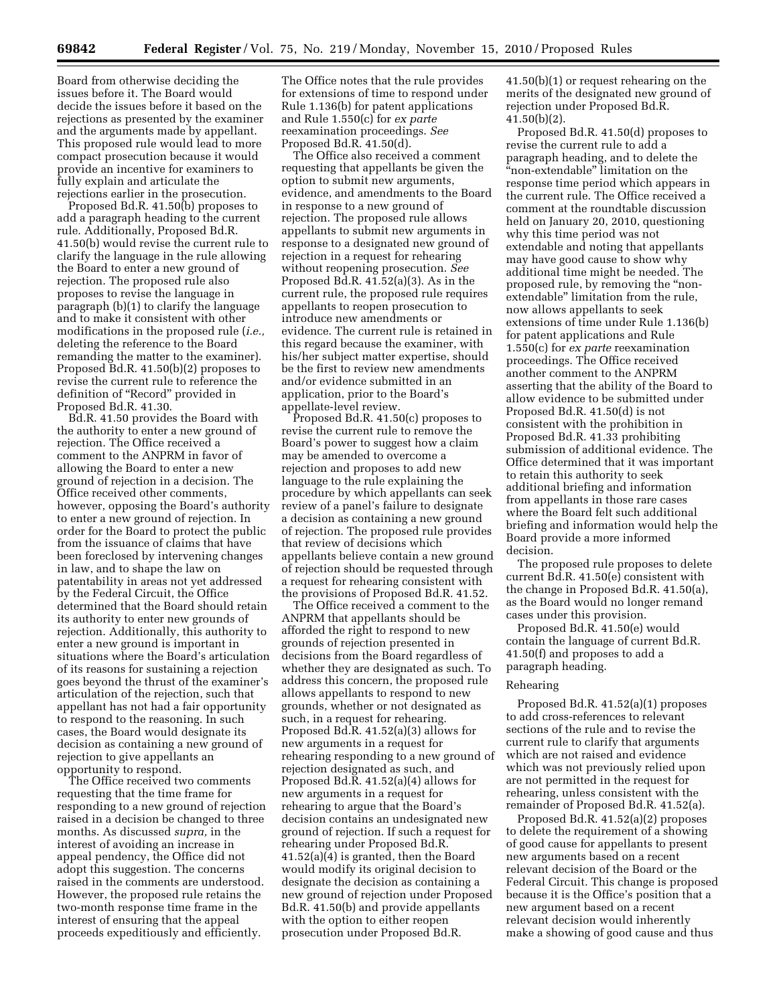Board from otherwise deciding the issues before it. The Board would decide the issues before it based on the rejections as presented by the examiner and the arguments made by appellant. This proposed rule would lead to more compact prosecution because it would provide an incentive for examiners to fully explain and articulate the rejections earlier in the prosecution.

Proposed Bd.R. 41.50(b) proposes to add a paragraph heading to the current rule. Additionally, Proposed Bd.R. 41.50(b) would revise the current rule to clarify the language in the rule allowing the Board to enter a new ground of rejection. The proposed rule also proposes to revise the language in paragraph (b)(1) to clarify the language and to make it consistent with other modifications in the proposed rule (*i.e.,*  deleting the reference to the Board remanding the matter to the examiner). Proposed Bd.R. 41.50(b)(2) proposes to revise the current rule to reference the definition of ''Record'' provided in Proposed Bd.R. 41.30.

Bd.R. 41.50 provides the Board with the authority to enter a new ground of rejection. The Office received a comment to the ANPRM in favor of allowing the Board to enter a new ground of rejection in a decision. The Office received other comments, however, opposing the Board's authority to enter a new ground of rejection. In order for the Board to protect the public from the issuance of claims that have been foreclosed by intervening changes in law, and to shape the law on patentability in areas not yet addressed by the Federal Circuit, the Office determined that the Board should retain its authority to enter new grounds of rejection. Additionally, this authority to enter a new ground is important in situations where the Board's articulation of its reasons for sustaining a rejection goes beyond the thrust of the examiner's articulation of the rejection, such that appellant has not had a fair opportunity to respond to the reasoning. In such cases, the Board would designate its decision as containing a new ground of rejection to give appellants an opportunity to respond.

The Office received two comments requesting that the time frame for responding to a new ground of rejection raised in a decision be changed to three months. As discussed *supra,* in the interest of avoiding an increase in appeal pendency, the Office did not adopt this suggestion. The concerns raised in the comments are understood. However, the proposed rule retains the two-month response time frame in the interest of ensuring that the appeal proceeds expeditiously and efficiently.

The Office notes that the rule provides for extensions of time to respond under Rule 1.136(b) for patent applications and Rule 1.550(c) for *ex parte*  reexamination proceedings. *See*  Proposed Bd.R. 41.50(d).

The Office also received a comment requesting that appellants be given the option to submit new arguments, evidence, and amendments to the Board in response to a new ground of rejection. The proposed rule allows appellants to submit new arguments in response to a designated new ground of rejection in a request for rehearing without reopening prosecution. *See*  Proposed Bd.R. 41.52(a)(3). As in the current rule, the proposed rule requires appellants to reopen prosecution to introduce new amendments or evidence. The current rule is retained in this regard because the examiner, with his/her subject matter expertise, should be the first to review new amendments and/or evidence submitted in an application, prior to the Board's appellate-level review.

Proposed Bd.R. 41.50(c) proposes to revise the current rule to remove the Board's power to suggest how a claim may be amended to overcome a rejection and proposes to add new language to the rule explaining the procedure by which appellants can seek review of a panel's failure to designate a decision as containing a new ground of rejection. The proposed rule provides that review of decisions which appellants believe contain a new ground of rejection should be requested through a request for rehearing consistent with the provisions of Proposed Bd.R. 41.52.

The Office received a comment to the ANPRM that appellants should be afforded the right to respond to new grounds of rejection presented in decisions from the Board regardless of whether they are designated as such. To address this concern, the proposed rule allows appellants to respond to new grounds, whether or not designated as such, in a request for rehearing. Proposed Bd.R. 41.52(a)(3) allows for new arguments in a request for rehearing responding to a new ground of rejection designated as such, and Proposed Bd.R. 41.52(a)(4) allows for new arguments in a request for rehearing to argue that the Board's decision contains an undesignated new ground of rejection. If such a request for rehearing under Proposed Bd.R. 41.52(a)(4) is granted, then the Board would modify its original decision to designate the decision as containing a new ground of rejection under Proposed Bd.R. 41.50(b) and provide appellants with the option to either reopen prosecution under Proposed Bd.R.

41.50(b)(1) or request rehearing on the merits of the designated new ground of rejection under Proposed Bd.R.  $41.50(b)(2)$ .

Proposed Bd.R. 41.50(d) proposes to revise the current rule to add a paragraph heading, and to delete the "non-extendable" limitation on the response time period which appears in the current rule. The Office received a comment at the roundtable discussion held on January 20, 2010, questioning why this time period was not extendable and noting that appellants may have good cause to show why additional time might be needed. The proposed rule, by removing the ''nonextendable'' limitation from the rule, now allows appellants to seek extensions of time under Rule 1.136(b) for patent applications and Rule 1.550(c) for *ex parte* reexamination proceedings. The Office received another comment to the ANPRM asserting that the ability of the Board to allow evidence to be submitted under Proposed Bd.R. 41.50(d) is not consistent with the prohibition in Proposed Bd.R. 41.33 prohibiting submission of additional evidence. The Office determined that it was important to retain this authority to seek additional briefing and information from appellants in those rare cases where the Board felt such additional briefing and information would help the Board provide a more informed decision.

The proposed rule proposes to delete current Bd.R. 41.50(e) consistent with the change in Proposed Bd.R. 41.50(a), as the Board would no longer remand cases under this provision.

Proposed Bd.R. 41.50(e) would contain the language of current Bd.R. 41.50(f) and proposes to add a paragraph heading.

#### Rehearing

Proposed Bd.R. 41.52(a)(1) proposes to add cross-references to relevant sections of the rule and to revise the current rule to clarify that arguments which are not raised and evidence which was not previously relied upon are not permitted in the request for rehearing, unless consistent with the remainder of Proposed Bd.R. 41.52(a).

Proposed Bd.R. 41.52(a)(2) proposes to delete the requirement of a showing of good cause for appellants to present new arguments based on a recent relevant decision of the Board or the Federal Circuit. This change is proposed because it is the Office's position that a new argument based on a recent relevant decision would inherently make a showing of good cause and thus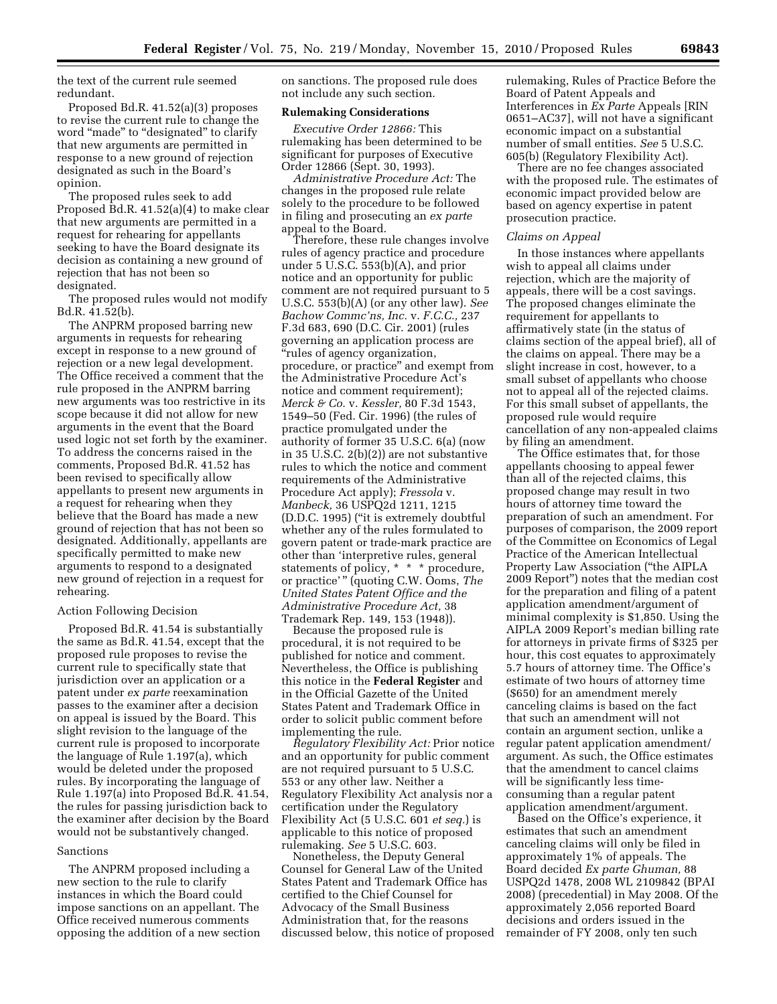the text of the current rule seemed redundant.

Proposed Bd.R. 41.52(a)(3) proposes to revise the current rule to change the word "made" to "designated" to clarify that new arguments are permitted in response to a new ground of rejection designated as such in the Board's opinion.

The proposed rules seek to add Proposed Bd.R. 41.52(a)(4) to make clear that new arguments are permitted in a request for rehearing for appellants seeking to have the Board designate its decision as containing a new ground of rejection that has not been so designated.

The proposed rules would not modify Bd.R. 41.52(b).

The ANPRM proposed barring new arguments in requests for rehearing except in response to a new ground of rejection or a new legal development. The Office received a comment that the rule proposed in the ANPRM barring new arguments was too restrictive in its scope because it did not allow for new arguments in the event that the Board used logic not set forth by the examiner. To address the concerns raised in the comments, Proposed Bd.R. 41.52 has been revised to specifically allow appellants to present new arguments in a request for rehearing when they believe that the Board has made a new ground of rejection that has not been so designated. Additionally, appellants are specifically permitted to make new arguments to respond to a designated new ground of rejection in a request for rehearing.

### Action Following Decision

Proposed Bd.R. 41.54 is substantially the same as Bd.R. 41.54, except that the proposed rule proposes to revise the current rule to specifically state that jurisdiction over an application or a patent under *ex parte* reexamination passes to the examiner after a decision on appeal is issued by the Board. This slight revision to the language of the current rule is proposed to incorporate the language of Rule 1.197(a), which would be deleted under the proposed rules. By incorporating the language of Rule 1.197(a) into Proposed Bd.R. 41.54, the rules for passing jurisdiction back to the examiner after decision by the Board would not be substantively changed.

#### Sanctions

The ANPRM proposed including a new section to the rule to clarify instances in which the Board could impose sanctions on an appellant. The Office received numerous comments opposing the addition of a new section on sanctions. The proposed rule does not include any such section.

### **Rulemaking Considerations**

*Executive Order 12866:* This rulemaking has been determined to be significant for purposes of Executive Order 12866 (Sept. 30, 1993).

*Administrative Procedure Act:* The changes in the proposed rule relate solely to the procedure to be followed in filing and prosecuting an *ex parte*  appeal to the Board.

Therefore, these rule changes involve rules of agency practice and procedure under 5 U.S.C. 553(b)(A), and prior notice and an opportunity for public comment are not required pursuant to 5 U.S.C. 553(b)(A) (or any other law). *See Bachow Commc'ns, Inc.* v. *F.C.C.,* 237 F.3d 683, 690 (D.C. Cir. 2001) (rules governing an application process are "rules of agency organization, procedure, or practice'' and exempt from the Administrative Procedure Act's notice and comment requirement); *Merck & Co.* v. *Kessler,* 80 F.3d 1543, 1549–50 (Fed. Cir. 1996) (the rules of practice promulgated under the authority of former 35 U.S.C. 6(a) (now in 35 U.S.C. 2(b)(2)) are not substantive rules to which the notice and comment requirements of the Administrative Procedure Act apply); *Fressola* v. *Manbeck,* 36 USPQ2d 1211, 1215 (D.D.C. 1995) (''it is extremely doubtful whether any of the rules formulated to govern patent or trade-mark practice are other than 'interpretive rules, general statements of policy,  $* * *$  procedure, or practice' '' (quoting C.W. Ooms, *The United States Patent Office and the Administrative Procedure Act,* 38 Trademark Rep. 149, 153 (1948)).

Because the proposed rule is procedural, it is not required to be published for notice and comment. Nevertheless, the Office is publishing this notice in the **Federal Register** and in the Official Gazette of the United States Patent and Trademark Office in order to solicit public comment before implementing the rule.

*Regulatory Flexibility Act:* Prior notice and an opportunity for public comment are not required pursuant to 5 U.S.C. 553 or any other law. Neither a Regulatory Flexibility Act analysis nor a certification under the Regulatory Flexibility Act (5 U.S.C. 601 *et seq.*) is applicable to this notice of proposed rulemaking. *See* 5 U.S.C. 603.

Nonetheless, the Deputy General Counsel for General Law of the United States Patent and Trademark Office has certified to the Chief Counsel for Advocacy of the Small Business Administration that, for the reasons discussed below, this notice of proposed rulemaking, Rules of Practice Before the Board of Patent Appeals and Interferences in *Ex Parte* Appeals [RIN 0651–AC37], will not have a significant economic impact on a substantial number of small entities. *See* 5 U.S.C. 605(b) (Regulatory Flexibility Act).

There are no fee changes associated with the proposed rule. The estimates of economic impact provided below are based on agency expertise in patent prosecution practice.

#### *Claims on Appeal*

In those instances where appellants wish to appeal all claims under rejection, which are the majority of appeals, there will be a cost savings. The proposed changes eliminate the requirement for appellants to affirmatively state (in the status of claims section of the appeal brief), all of the claims on appeal. There may be a slight increase in cost, however, to a small subset of appellants who choose not to appeal all of the rejected claims. For this small subset of appellants, the proposed rule would require cancellation of any non-appealed claims by filing an amendment.

The Office estimates that, for those appellants choosing to appeal fewer than all of the rejected claims, this proposed change may result in two hours of attorney time toward the preparation of such an amendment. For purposes of comparison, the 2009 report of the Committee on Economics of Legal Practice of the American Intellectual Property Law Association (''the AIPLA 2009 Report'') notes that the median cost for the preparation and filing of a patent application amendment/argument of minimal complexity is \$1,850. Using the AIPLA 2009 Report's median billing rate for attorneys in private firms of \$325 per hour, this cost equates to approximately 5.7 hours of attorney time. The Office's estimate of two hours of attorney time (\$650) for an amendment merely canceling claims is based on the fact that such an amendment will not contain an argument section, unlike a regular patent application amendment/ argument. As such, the Office estimates that the amendment to cancel claims will be significantly less timeconsuming than a regular patent application amendment/argument.

Based on the Office's experience, it estimates that such an amendment canceling claims will only be filed in approximately 1% of appeals. The Board decided *Ex parte Ghuman,* 88 USPQ2d 1478, 2008 WL 2109842 (BPAI 2008) (precedential) in May 2008. Of the approximately 2,056 reported Board decisions and orders issued in the remainder of FY 2008, only ten such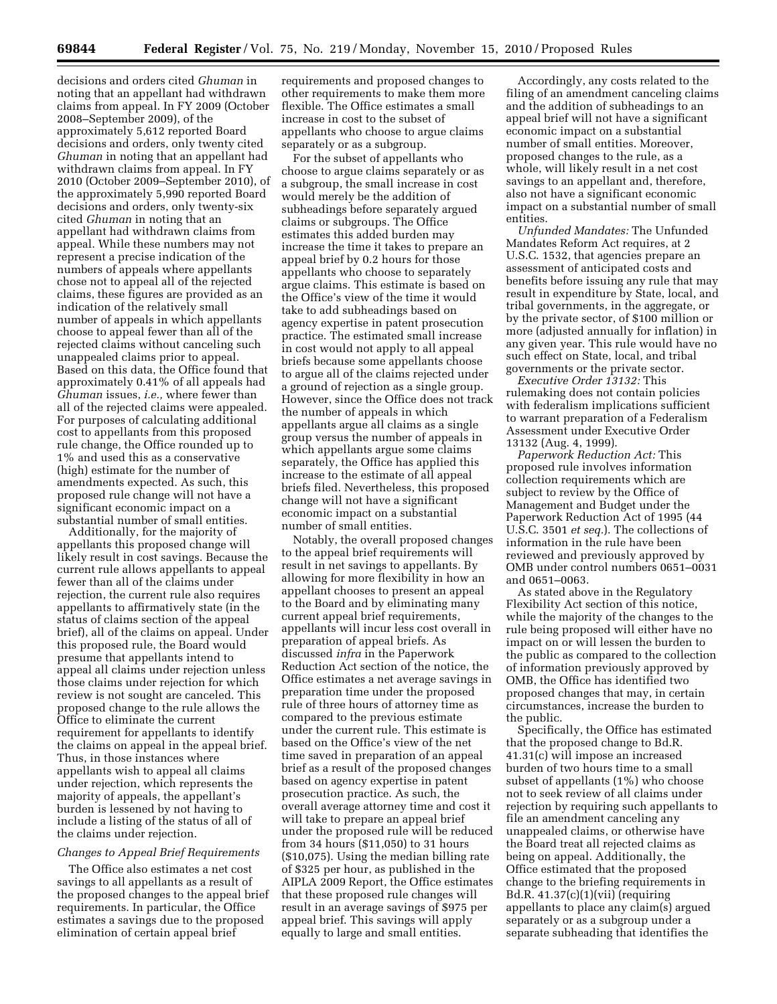decisions and orders cited *Ghuman* in noting that an appellant had withdrawn claims from appeal. In FY 2009 (October 2008–September 2009), of the approximately 5,612 reported Board decisions and orders, only twenty cited *Ghuman* in noting that an appellant had withdrawn claims from appeal. In FY 2010 (October 2009–September 2010), of the approximately 5,990 reported Board decisions and orders, only twenty-six cited *Ghuman* in noting that an appellant had withdrawn claims from appeal. While these numbers may not represent a precise indication of the numbers of appeals where appellants chose not to appeal all of the rejected claims, these figures are provided as an indication of the relatively small number of appeals in which appellants choose to appeal fewer than all of the rejected claims without canceling such unappealed claims prior to appeal. Based on this data, the Office found that approximately 0.41% of all appeals had *Ghuman* issues, *i.e.,* where fewer than all of the rejected claims were appealed. For purposes of calculating additional cost to appellants from this proposed rule change, the Office rounded up to 1% and used this as a conservative (high) estimate for the number of amendments expected. As such, this proposed rule change will not have a significant economic impact on a substantial number of small entities.

Additionally, for the majority of appellants this proposed change will likely result in cost savings. Because the current rule allows appellants to appeal fewer than all of the claims under rejection, the current rule also requires appellants to affirmatively state (in the status of claims section of the appeal brief), all of the claims on appeal. Under this proposed rule, the Board would presume that appellants intend to appeal all claims under rejection unless those claims under rejection for which review is not sought are canceled. This proposed change to the rule allows the Office to eliminate the current requirement for appellants to identify the claims on appeal in the appeal brief. Thus, in those instances where appellants wish to appeal all claims under rejection, which represents the majority of appeals, the appellant's burden is lessened by not having to include a listing of the status of all of the claims under rejection.

# *Changes to Appeal Brief Requirements*

The Office also estimates a net cost savings to all appellants as a result of the proposed changes to the appeal brief requirements. In particular, the Office estimates a savings due to the proposed elimination of certain appeal brief

requirements and proposed changes to other requirements to make them more flexible. The Office estimates a small increase in cost to the subset of appellants who choose to argue claims separately or as a subgroup.

For the subset of appellants who choose to argue claims separately or as a subgroup, the small increase in cost would merely be the addition of subheadings before separately argued claims or subgroups. The Office estimates this added burden may increase the time it takes to prepare an appeal brief by 0.2 hours for those appellants who choose to separately argue claims. This estimate is based on the Office's view of the time it would take to add subheadings based on agency expertise in patent prosecution practice. The estimated small increase in cost would not apply to all appeal briefs because some appellants choose to argue all of the claims rejected under a ground of rejection as a single group. However, since the Office does not track the number of appeals in which appellants argue all claims as a single group versus the number of appeals in which appellants argue some claims separately, the Office has applied this increase to the estimate of all appeal briefs filed. Nevertheless, this proposed change will not have a significant economic impact on a substantial number of small entities.

Notably, the overall proposed changes to the appeal brief requirements will result in net savings to appellants. By allowing for more flexibility in how an appellant chooses to present an appeal to the Board and by eliminating many current appeal brief requirements, appellants will incur less cost overall in preparation of appeal briefs. As discussed *infra* in the Paperwork Reduction Act section of the notice, the Office estimates a net average savings in preparation time under the proposed rule of three hours of attorney time as compared to the previous estimate under the current rule. This estimate is based on the Office's view of the net time saved in preparation of an appeal brief as a result of the proposed changes based on agency expertise in patent prosecution practice. As such, the overall average attorney time and cost it will take to prepare an appeal brief under the proposed rule will be reduced from 34 hours (\$11,050) to 31 hours (\$10,075). Using the median billing rate of \$325 per hour, as published in the AIPLA 2009 Report, the Office estimates that these proposed rule changes will result in an average savings of \$975 per appeal brief. This savings will apply equally to large and small entities.

Accordingly, any costs related to the filing of an amendment canceling claims and the addition of subheadings to an appeal brief will not have a significant economic impact on a substantial number of small entities. Moreover, proposed changes to the rule, as a whole, will likely result in a net cost savings to an appellant and, therefore, also not have a significant economic impact on a substantial number of small entities.

*Unfunded Mandates:* The Unfunded Mandates Reform Act requires, at 2 U.S.C. 1532, that agencies prepare an assessment of anticipated costs and benefits before issuing any rule that may result in expenditure by State, local, and tribal governments, in the aggregate, or by the private sector, of \$100 million or more (adjusted annually for inflation) in any given year. This rule would have no such effect on State, local, and tribal governments or the private sector.

*Executive Order 13132:* This rulemaking does not contain policies with federalism implications sufficient to warrant preparation of a Federalism Assessment under Executive Order 13132 (Aug. 4, 1999).

*Paperwork Reduction Act:* This proposed rule involves information collection requirements which are subject to review by the Office of Management and Budget under the Paperwork Reduction Act of 1995 (44 U.S.C. 3501 *et seq.*). The collections of information in the rule have been reviewed and previously approved by OMB under control numbers 0651–0031 and 0651–0063.

As stated above in the Regulatory Flexibility Act section of this notice, while the majority of the changes to the rule being proposed will either have no impact on or will lessen the burden to the public as compared to the collection of information previously approved by OMB, the Office has identified two proposed changes that may, in certain circumstances, increase the burden to the public.

Specifically, the Office has estimated that the proposed change to Bd.R. 41.31(c) will impose an increased burden of two hours time to a small subset of appellants (1%) who choose not to seek review of all claims under rejection by requiring such appellants to file an amendment canceling any unappealed claims, or otherwise have the Board treat all rejected claims as being on appeal. Additionally, the Office estimated that the proposed change to the briefing requirements in Bd.R. 41.37(c)(1)(vii) (requiring appellants to place any claim(s) argued separately or as a subgroup under a separate subheading that identifies the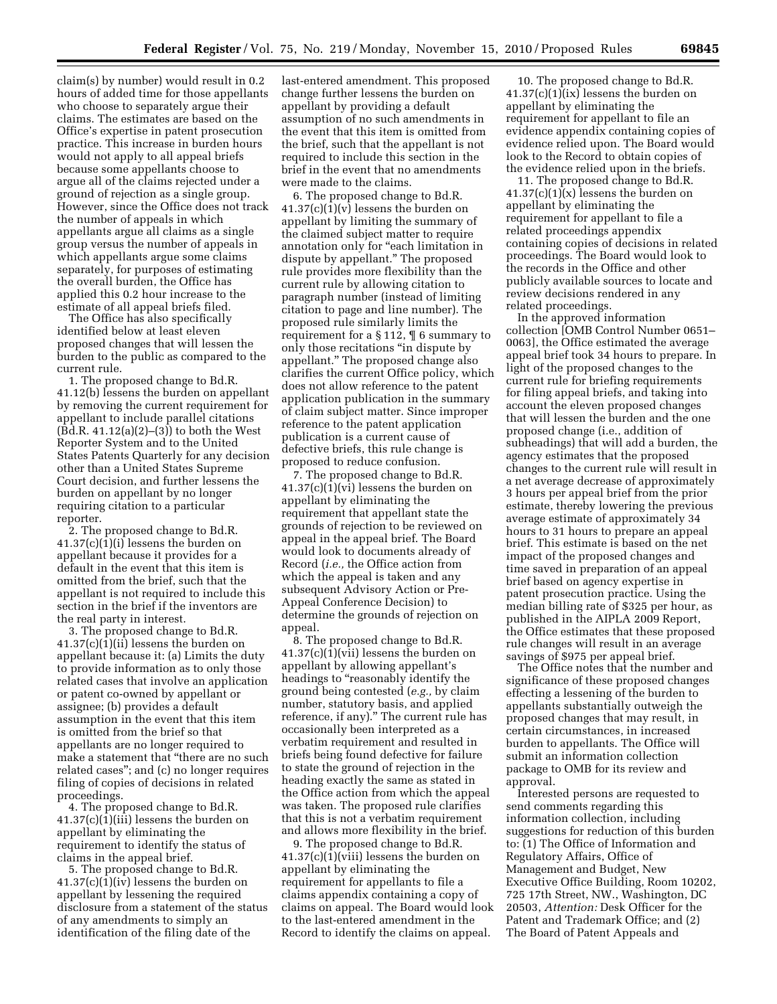claim(s) by number) would result in 0.2 hours of added time for those appellants who choose to separately argue their claims. The estimates are based on the Office's expertise in patent prosecution practice. This increase in burden hours would not apply to all appeal briefs because some appellants choose to argue all of the claims rejected under a ground of rejection as a single group. However, since the Office does not track the number of appeals in which appellants argue all claims as a single group versus the number of appeals in which appellants argue some claims separately, for purposes of estimating the overall burden, the Office has applied this 0.2 hour increase to the estimate of all appeal briefs filed.

The Office has also specifically identified below at least eleven proposed changes that will lessen the burden to the public as compared to the current rule.

1. The proposed change to Bd.R. 41.12(b) lessens the burden on appellant by removing the current requirement for appellant to include parallel citations  $(Bd.R. 41.12(a)(2)–(3))$  to both the West Reporter System and to the United States Patents Quarterly for any decision other than a United States Supreme Court decision, and further lessens the burden on appellant by no longer requiring citation to a particular reporter.

2. The proposed change to Bd.R. 41.37(c)(1)(i) lessens the burden on appellant because it provides for a default in the event that this item is omitted from the brief, such that the appellant is not required to include this section in the brief if the inventors are the real party in interest.

3. The proposed change to Bd.R. 41.37(c)(1)(ii) lessens the burden on appellant because it: (a) Limits the duty to provide information as to only those related cases that involve an application or patent co-owned by appellant or assignee; (b) provides a default assumption in the event that this item is omitted from the brief so that appellants are no longer required to make a statement that ''there are no such related cases''; and (c) no longer requires filing of copies of decisions in related proceedings.

4. The proposed change to Bd.R. 41.37(c)(1)(iii) lessens the burden on appellant by eliminating the requirement to identify the status of claims in the appeal brief.

5. The proposed change to Bd.R. 41.37(c)(1)(iv) lessens the burden on appellant by lessening the required disclosure from a statement of the status of any amendments to simply an identification of the filing date of the

last-entered amendment. This proposed change further lessens the burden on appellant by providing a default assumption of no such amendments in the event that this item is omitted from the brief, such that the appellant is not required to include this section in the brief in the event that no amendments were made to the claims.

6. The proposed change to Bd.R.  $41.37(c)(1)(v)$  lessens the burden on appellant by limiting the summary of the claimed subject matter to require annotation only for "each limitation in dispute by appellant.'' The proposed rule provides more flexibility than the current rule by allowing citation to paragraph number (instead of limiting citation to page and line number). The proposed rule similarly limits the requirement for a § 112, ¶ 6 summary to only those recitations ''in dispute by appellant.'' The proposed change also clarifies the current Office policy, which does not allow reference to the patent application publication in the summary of claim subject matter. Since improper reference to the patent application publication is a current cause of defective briefs, this rule change is proposed to reduce confusion.

7. The proposed change to Bd.R. 41.37(c)(1)(vi) lessens the burden on appellant by eliminating the requirement that appellant state the grounds of rejection to be reviewed on appeal in the appeal brief. The Board would look to documents already of Record (*i.e.,* the Office action from which the appeal is taken and any subsequent Advisory Action or Pre-Appeal Conference Decision) to determine the grounds of rejection on appeal.

8. The proposed change to Bd.R. 41.37(c)(1)(vii) lessens the burden on appellant by allowing appellant's headings to "reasonably identify the ground being contested (*e.g.,* by claim number, statutory basis, and applied reference, if any).'' The current rule has occasionally been interpreted as a verbatim requirement and resulted in briefs being found defective for failure to state the ground of rejection in the heading exactly the same as stated in the Office action from which the appeal was taken. The proposed rule clarifies that this is not a verbatim requirement and allows more flexibility in the brief.

9. The proposed change to Bd.R. 41.37(c)(1)(viii) lessens the burden on appellant by eliminating the requirement for appellants to file a claims appendix containing a copy of claims on appeal. The Board would look to the last-entered amendment in the Record to identify the claims on appeal.

10. The proposed change to Bd.R. 41.37(c)(1)(ix) lessens the burden on appellant by eliminating the requirement for appellant to file an evidence appendix containing copies of evidence relied upon. The Board would look to the Record to obtain copies of the evidence relied upon in the briefs.

11. The proposed change to Bd.R.  $41.37(c)(1)(x)$  lessens the burden on appellant by eliminating the requirement for appellant to file a related proceedings appendix containing copies of decisions in related proceedings. The Board would look to the records in the Office and other publicly available sources to locate and review decisions rendered in any related proceedings.

In the approved information collection [OMB Control Number 0651– 0063], the Office estimated the average appeal brief took 34 hours to prepare. In light of the proposed changes to the current rule for briefing requirements for filing appeal briefs, and taking into account the eleven proposed changes that will lessen the burden and the one proposed change (i.e., addition of subheadings) that will add a burden, the agency estimates that the proposed changes to the current rule will result in a net average decrease of approximately 3 hours per appeal brief from the prior estimate, thereby lowering the previous average estimate of approximately 34 hours to 31 hours to prepare an appeal brief. This estimate is based on the net impact of the proposed changes and time saved in preparation of an appeal brief based on agency expertise in patent prosecution practice. Using the median billing rate of \$325 per hour, as published in the AIPLA 2009 Report, the Office estimates that these proposed rule changes will result in an average savings of \$975 per appeal brief.

The Office notes that the number and significance of these proposed changes effecting a lessening of the burden to appellants substantially outweigh the proposed changes that may result, in certain circumstances, in increased burden to appellants. The Office will submit an information collection package to OMB for its review and approval.

Interested persons are requested to send comments regarding this information collection, including suggestions for reduction of this burden to: (1) The Office of Information and Regulatory Affairs, Office of Management and Budget, New Executive Office Building, Room 10202, 725 17th Street, NW., Washington, DC 20503, *Attention:* Desk Officer for the Patent and Trademark Office; and (2) The Board of Patent Appeals and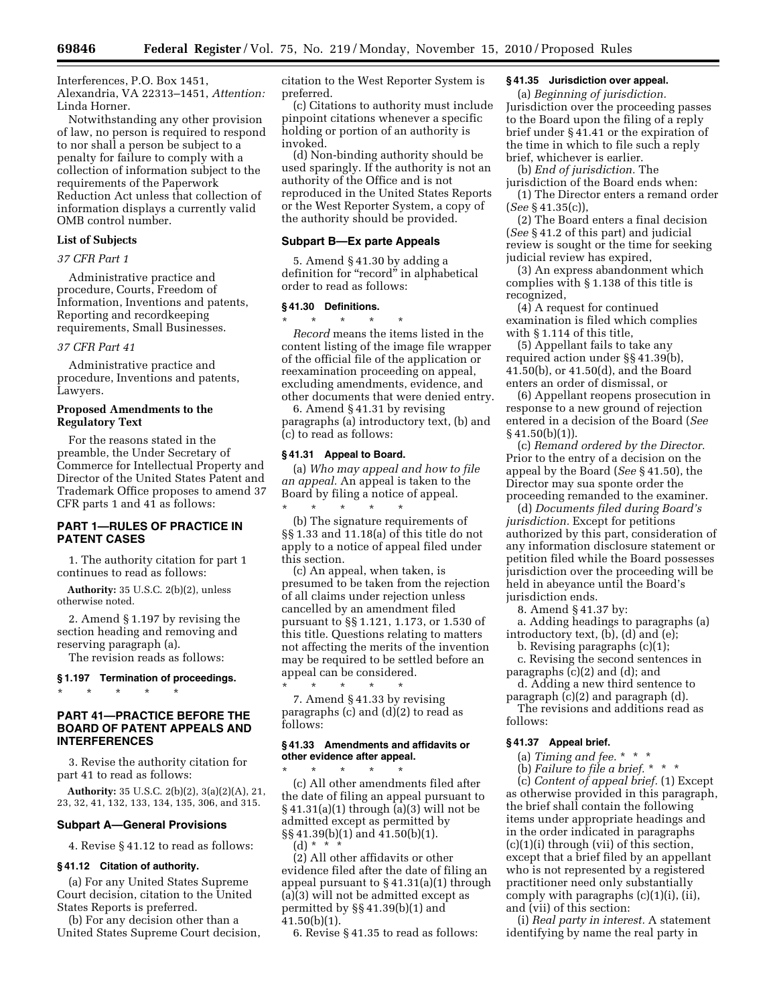Interferences, P.O. Box 1451, Alexandria, VA 22313–1451, *Attention:*  Linda Horner.

Notwithstanding any other provision of law, no person is required to respond to nor shall a person be subject to a penalty for failure to comply with a collection of information subject to the requirements of the Paperwork Reduction Act unless that collection of information displays a currently valid OMB control number.

# **List of Subjects**

### *37 CFR Part 1*

Administrative practice and procedure, Courts, Freedom of Information, Inventions and patents, Reporting and recordkeeping requirements, Small Businesses.

## *37 CFR Part 41*

Administrative practice and procedure, Inventions and patents, Lawyers.

# **Proposed Amendments to the Regulatory Text**

For the reasons stated in the preamble, the Under Secretary of Commerce for Intellectual Property and Director of the United States Patent and Trademark Office proposes to amend 37 CFR parts 1 and 41 as follows:

# **PART 1—RULES OF PRACTICE IN PATENT CASES**

1. The authority citation for part 1 continues to read as follows:

**Authority:** 35 U.S.C. 2(b)(2), unless otherwise noted.

2. Amend § 1.197 by revising the section heading and removing and reserving paragraph (a).

The revision reads as follows:

# **§ 1.197 Termination of proceedings.**

\* \* \* \* \*

# **PART 41—PRACTICE BEFORE THE BOARD OF PATENT APPEALS AND INTERFERENCES**

3. Revise the authority citation for part 41 to read as follows:

**Authority:** 35 U.S.C. 2(b)(2), 3(a)(2)(A), 21, 23, 32, 41, 132, 133, 134, 135, 306, and 315.

#### **Subpart A—General Provisions**

4. Revise § 41.12 to read as follows:

#### **§ 41.12 Citation of authority.**

(a) For any United States Supreme Court decision, citation to the United States Reports is preferred.

(b) For any decision other than a United States Supreme Court decision, citation to the West Reporter System is preferred.

(c) Citations to authority must include pinpoint citations whenever a specific holding or portion of an authority is invoked.

(d) Non-binding authority should be used sparingly. If the authority is not an authority of the Office and is not reproduced in the United States Reports or the West Reporter System, a copy of the authority should be provided.

## **Subpart B—Ex parte Appeals**

5. Amend § 41.30 by adding a definition for "record" in alphabetical order to read as follows:

## **§ 41.30 Definitions.**

\* \* \* \* \* *Record* means the items listed in the content listing of the image file wrapper of the official file of the application or reexamination proceeding on appeal, excluding amendments, evidence, and other documents that were denied entry.

6. Amend § 41.31 by revising paragraphs (a) introductory text, (b) and (c) to read as follows:

#### **§ 41.31 Appeal to Board.**

(a) *Who may appeal and how to file an appeal.* An appeal is taken to the Board by filing a notice of appeal.

\* \* \* \* \* (b) The signature requirements of §§ 1.33 and 11.18(a) of this title do not apply to a notice of appeal filed under this section.

(c) An appeal, when taken, is presumed to be taken from the rejection of all claims under rejection unless cancelled by an amendment filed pursuant to §§ 1.121, 1.173, or 1.530 of this title. Questions relating to matters not affecting the merits of the invention may be required to be settled before an appeal can be considered.

\* \* \* \* \* 7. Amend § 41.33 by revising paragraphs (c) and (d)(2) to read as follows:

#### **§ 41.33 Amendments and affidavits or other evidence after appeal.**

\* \* \* \* \* (c) All other amendments filed after the date of filing an appeal pursuant to § 41.31(a)(1) through (a)(3) will not be admitted except as permitted by §§ 41.39(b)(1) and 41.50(b)(1). (d) \* \*  $\cdot$ 

(2) All other affidavits or other evidence filed after the date of filing an appeal pursuant to  $\S$  41.31(a)(1) through (a)(3) will not be admitted except as permitted by §§ 41.39(b)(1) and 41.50(b)(1).

6. Revise § 41.35 to read as follows:

# **§ 41.35 Jurisdiction over appeal.**

(a) *Beginning of jurisdiction.*  Jurisdiction over the proceeding passes to the Board upon the filing of a reply brief under § 41.41 or the expiration of the time in which to file such a reply brief, whichever is earlier.

(b) *End of jurisdiction.* The jurisdiction of the Board ends when:

(1) The Director enters a remand order (*See* § 41.35(c)),

(2) The Board enters a final decision (*See* § 41.2 of this part) and judicial review is sought or the time for seeking judicial review has expired,

(3) An express abandonment which complies with § 1.138 of this title is recognized,

(4) A request for continued examination is filed which complies with § 1.114 of this title,

(5) Appellant fails to take any required action under §§ 41.39(b), 41.50(b), or 41.50(d), and the Board enters an order of dismissal, or

(6) Appellant reopens prosecution in response to a new ground of rejection entered in a decision of the Board (*See*   $§ 41.50(b)(1)$ ).

(c) *Remand ordered by the Director.*  Prior to the entry of a decision on the appeal by the Board (*See* § 41.50), the Director may sua sponte order the proceeding remanded to the examiner.

(d) *Documents filed during Board's jurisdiction.* Except for petitions authorized by this part, consideration of any information disclosure statement or petition filed while the Board possesses jurisdiction over the proceeding will be held in abeyance until the Board's jurisdiction ends.

8. Amend § 41.37 by:

a. Adding headings to paragraphs (a) introductory text, (b), (d) and (e);

b. Revising paragraphs (c)(1);

c. Revising the second sentences in paragraphs (c)(2) and (d); and

d. Adding a new third sentence to paragraph (c)(2) and paragraph (d).

The revisions and additions read as follows:

# **§ 41.37 Appeal brief.**

(a) *Timing and fee.* \* \* \*

(b) *Failure to file a brief.* \* \* \*

(c) *Content of appeal brief.* (1) Except as otherwise provided in this paragraph, the brief shall contain the following items under appropriate headings and in the order indicated in paragraphs (c)(1)(i) through (vii) of this section, except that a brief filed by an appellant who is not represented by a registered practitioner need only substantially comply with paragraphs (c)(1)(i), (ii), and (vii) of this section:

(i) *Real party in interest.* A statement identifying by name the real party in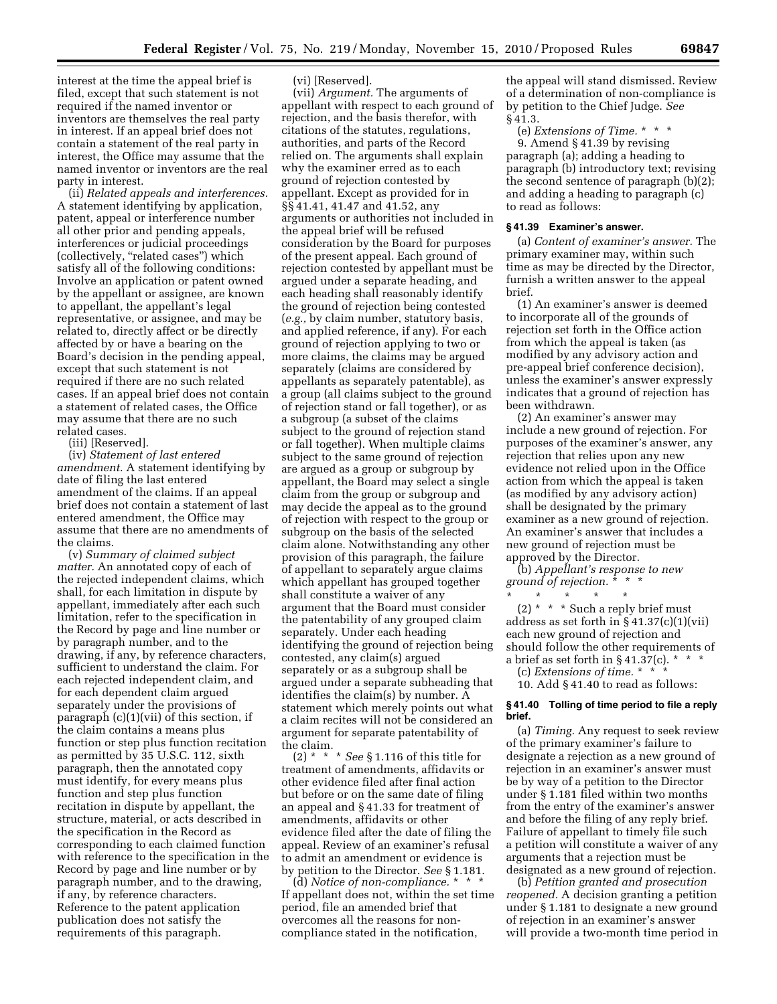interest at the time the appeal brief is filed, except that such statement is not required if the named inventor or inventors are themselves the real party in interest. If an appeal brief does not contain a statement of the real party in interest, the Office may assume that the named inventor or inventors are the real party in interest.

(ii) *Related appeals and interferences.*  A statement identifying by application, patent, appeal or interference number all other prior and pending appeals, interferences or judicial proceedings (collectively, "related cases") which satisfy all of the following conditions: Involve an application or patent owned by the appellant or assignee, are known to appellant, the appellant's legal representative, or assignee, and may be related to, directly affect or be directly affected by or have a bearing on the Board's decision in the pending appeal, except that such statement is not required if there are no such related cases. If an appeal brief does not contain a statement of related cases, the Office may assume that there are no such related cases.

(iii) [Reserved].

(iv) *Statement of last entered amendment.* A statement identifying by date of filing the last entered amendment of the claims. If an appeal brief does not contain a statement of last entered amendment, the Office may assume that there are no amendments of the claims.

(v) *Summary of claimed subject matter.* An annotated copy of each of the rejected independent claims, which shall, for each limitation in dispute by appellant, immediately after each such limitation, refer to the specification in the Record by page and line number or by paragraph number, and to the drawing, if any, by reference characters, sufficient to understand the claim. For each rejected independent claim, and for each dependent claim argued separately under the provisions of paragraph (c)(1)(vii) of this section, if the claim contains a means plus function or step plus function recitation as permitted by 35 U.S.C. 112, sixth paragraph, then the annotated copy must identify, for every means plus function and step plus function recitation in dispute by appellant, the structure, material, or acts described in the specification in the Record as corresponding to each claimed function with reference to the specification in the Record by page and line number or by paragraph number, and to the drawing, if any, by reference characters. Reference to the patent application publication does not satisfy the requirements of this paragraph.

# (vi) [Reserved].

(vii) *Argument.* The arguments of appellant with respect to each ground of rejection, and the basis therefor, with citations of the statutes, regulations, authorities, and parts of the Record relied on. The arguments shall explain why the examiner erred as to each ground of rejection contested by appellant. Except as provided for in §§ 41.41, 41.47 and 41.52, any arguments or authorities not included in the appeal brief will be refused consideration by the Board for purposes of the present appeal. Each ground of rejection contested by appellant must be argued under a separate heading, and each heading shall reasonably identify the ground of rejection being contested (*e.g.,* by claim number, statutory basis, and applied reference, if any). For each ground of rejection applying to two or more claims, the claims may be argued separately (claims are considered by appellants as separately patentable), as a group (all claims subject to the ground of rejection stand or fall together), or as a subgroup (a subset of the claims subject to the ground of rejection stand or fall together). When multiple claims subject to the same ground of rejection are argued as a group or subgroup by appellant, the Board may select a single claim from the group or subgroup and may decide the appeal as to the ground of rejection with respect to the group or subgroup on the basis of the selected claim alone. Notwithstanding any other provision of this paragraph, the failure of appellant to separately argue claims which appellant has grouped together shall constitute a waiver of any argument that the Board must consider the patentability of any grouped claim separately. Under each heading identifying the ground of rejection being contested, any claim(s) argued separately or as a subgroup shall be argued under a separate subheading that identifies the claim(s) by number. A statement which merely points out what a claim recites will not be considered an argument for separate patentability of the claim.

(2) \* \* \* *See* § 1.116 of this title for treatment of amendments, affidavits or other evidence filed after final action but before or on the same date of filing an appeal and § 41.33 for treatment of amendments, affidavits or other evidence filed after the date of filing the appeal. Review of an examiner's refusal to admit an amendment or evidence is by petition to the Director. *See* § 1.181.

(d) *Notice of non-compliance.* \* \* \* If appellant does not, within the set time period, file an amended brief that overcomes all the reasons for noncompliance stated in the notification,

the appeal will stand dismissed. Review of a determination of non-compliance is by petition to the Chief Judge. *See*  § 41.3.

(e) *Extensions of Time.* \* \* \*

9. Amend § 41.39 by revising paragraph (a); adding a heading to paragraph (b) introductory text; revising the second sentence of paragraph (b)(2); and adding a heading to paragraph (c) to read as follows:

# **§ 41.39 Examiner's answer.**

(a) *Content of examiner's answer.* The primary examiner may, within such time as may be directed by the Director, furnish a written answer to the appeal brief.

(1) An examiner's answer is deemed to incorporate all of the grounds of rejection set forth in the Office action from which the appeal is taken (as modified by any advisory action and pre-appeal brief conference decision), unless the examiner's answer expressly indicates that a ground of rejection has been withdrawn.

(2) An examiner's answer may include a new ground of rejection. For purposes of the examiner's answer, any rejection that relies upon any new evidence not relied upon in the Office action from which the appeal is taken (as modified by any advisory action) shall be designated by the primary examiner as a new ground of rejection. An examiner's answer that includes a new ground of rejection must be approved by the Director.

(b) *Appellant's response to new ground of rejection.* \* \* \*

 $\star$   $\star$   $\star$ (2)  $*$   $*$   $*$  Such a reply brief must address as set forth in  $\S 41.37(c)(1)(vii)$ each new ground of rejection and should follow the other requirements of a brief as set forth in  $\S 41.37(c)$ . \*

(c) *Extensions of time.* \* \* \*

10. Add § 41.40 to read as follows:

### **§ 41.40 Tolling of time period to file a reply brief.**

(a) *Timing.* Any request to seek review of the primary examiner's failure to designate a rejection as a new ground of rejection in an examiner's answer must be by way of a petition to the Director under § 1.181 filed within two months from the entry of the examiner's answer and before the filing of any reply brief. Failure of appellant to timely file such a petition will constitute a waiver of any arguments that a rejection must be designated as a new ground of rejection.

(b) *Petition granted and prosecution reopened.* A decision granting a petition under § 1.181 to designate a new ground of rejection in an examiner's answer will provide a two-month time period in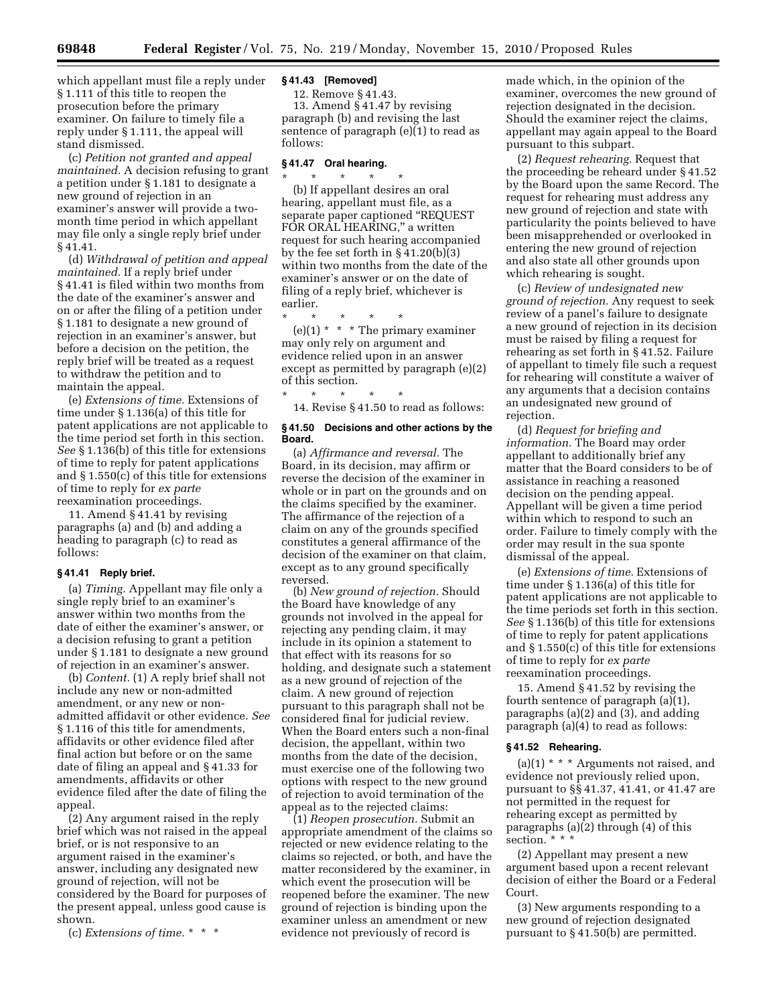which appellant must file a reply under § 1.111 of this title to reopen the prosecution before the primary examiner. On failure to timely file a reply under § 1.111, the appeal will stand dismissed.

(c) *Petition not granted and appeal maintained.* A decision refusing to grant a petition under § 1.181 to designate a new ground of rejection in an examiner's answer will provide a twomonth time period in which appellant may file only a single reply brief under § 41.41.

(d) *Withdrawal of petition and appeal maintained.* If a reply brief under § 41.41 is filed within two months from the date of the examiner's answer and on or after the filing of a petition under § 1.181 to designate a new ground of rejection in an examiner's answer, but before a decision on the petition, the reply brief will be treated as a request to withdraw the petition and to maintain the appeal.

(e) *Extensions of time.* Extensions of time under § 1.136(a) of this title for patent applications are not applicable to the time period set forth in this section. *See* § 1.136(b) of this title for extensions of time to reply for patent applications and § 1.550(c) of this title for extensions of time to reply for *ex parte*  reexamination proceedings.

11. Amend § 41.41 by revising paragraphs (a) and (b) and adding a heading to paragraph (c) to read as follows:

# **§ 41.41 Reply brief.**

(a) *Timing.* Appellant may file only a single reply brief to an examiner's answer within two months from the date of either the examiner's answer, or a decision refusing to grant a petition under § 1.181 to designate a new ground of rejection in an examiner's answer.

(b) *Content.* (1) A reply brief shall not include any new or non-admitted amendment, or any new or nonadmitted affidavit or other evidence. *See*  § 1.116 of this title for amendments, affidavits or other evidence filed after final action but before or on the same date of filing an appeal and § 41.33 for amendments, affidavits or other evidence filed after the date of filing the appeal.

(2) Any argument raised in the reply brief which was not raised in the appeal brief, or is not responsive to an argument raised in the examiner's answer, including any designated new ground of rejection, will not be considered by the Board for purposes of the present appeal, unless good cause is shown.

(c) *Extensions of time.* \* \* \*

### **§ 41.43 [Removed]**

12. Remove § 41.43. 13. Amend § 41.47 by revising paragraph (b) and revising the last sentence of paragraph (e)(1) to read as follows:

### **§ 41.47 Oral hearing.**

\* \* \* \* \*

\* \* \* \* \* (b) If appellant desires an oral hearing, appellant must file, as a separate paper captioned "REQUEST FOR ORAL HEARING," a written request for such hearing accompanied by the fee set forth in § 41.20(b)(3) within two months from the date of the examiner's answer or on the date of filing of a reply brief, whichever is earlier.

\* \* \* \* \*  $(e)(1)$  \* \* \* The primary examiner may only rely on argument and evidence relied upon in an answer except as permitted by paragraph (e)(2) of this section.

14. Revise § 41.50 to read as follows:

### **§ 41.50 Decisions and other actions by the Board.**

(a) *Affirmance and reversal.* The Board, in its decision, may affirm or reverse the decision of the examiner in whole or in part on the grounds and on the claims specified by the examiner. The affirmance of the rejection of a claim on any of the grounds specified constitutes a general affirmance of the decision of the examiner on that claim, except as to any ground specifically reversed.

(b) *New ground of rejection.* Should the Board have knowledge of any grounds not involved in the appeal for rejecting any pending claim, it may include in its opinion a statement to that effect with its reasons for so holding, and designate such a statement as a new ground of rejection of the claim. A new ground of rejection pursuant to this paragraph shall not be considered final for judicial review. When the Board enters such a non-final decision, the appellant, within two months from the date of the decision, must exercise one of the following two options with respect to the new ground of rejection to avoid termination of the appeal as to the rejected claims:

(1) *Reopen prosecution.* Submit an appropriate amendment of the claims so rejected or new evidence relating to the claims so rejected, or both, and have the matter reconsidered by the examiner, in which event the prosecution will be reopened before the examiner. The new ground of rejection is binding upon the examiner unless an amendment or new evidence not previously of record is

made which, in the opinion of the examiner, overcomes the new ground of rejection designated in the decision. Should the examiner reject the claims, appellant may again appeal to the Board pursuant to this subpart.

(2) *Request rehearing.* Request that the proceeding be reheard under § 41.52 by the Board upon the same Record. The request for rehearing must address any new ground of rejection and state with particularity the points believed to have been misapprehended or overlooked in entering the new ground of rejection and also state all other grounds upon which rehearing is sought.

(c) *Review of undesignated new ground of rejection.* Any request to seek review of a panel's failure to designate a new ground of rejection in its decision must be raised by filing a request for rehearing as set forth in § 41.52. Failure of appellant to timely file such a request for rehearing will constitute a waiver of any arguments that a decision contains an undesignated new ground of rejection.

(d) *Request for briefing and information.* The Board may order appellant to additionally brief any matter that the Board considers to be of assistance in reaching a reasoned decision on the pending appeal. Appellant will be given a time period within which to respond to such an order. Failure to timely comply with the order may result in the sua sponte dismissal of the appeal.

(e) *Extensions of time.* Extensions of time under § 1.136(a) of this title for patent applications are not applicable to the time periods set forth in this section. *See* § 1.136(b) of this title for extensions of time to reply for patent applications and § 1.550(c) of this title for extensions of time to reply for *ex parte*  reexamination proceedings.

15. Amend § 41.52 by revising the fourth sentence of paragraph (a)(1), paragraphs  $(a)(2)$  and  $(3)$ , and adding paragraph (a)(4) to read as follows:

## **§ 41.52 Rehearing.**

 $(a)(1)$  \* \* \* Arguments not raised, and evidence not previously relied upon, pursuant to §§ 41.37, 41.41, or 41.47 are not permitted in the request for rehearing except as permitted by paragraphs (a)(2) through (4) of this section. \* \* \*

(2) Appellant may present a new argument based upon a recent relevant decision of either the Board or a Federal Court.

(3) New arguments responding to a new ground of rejection designated pursuant to § 41.50(b) are permitted.